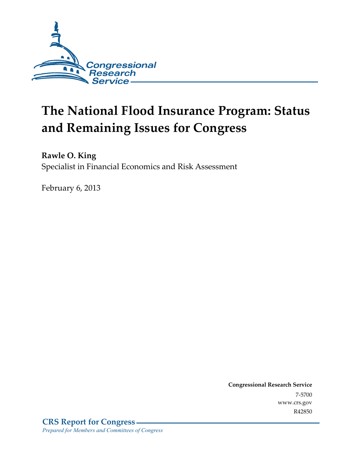

# **The National Flood Insurance Program: Status and Remaining Issues for Congress**

**Rawle O. King**  Specialist in Financial Economics and Risk Assessment

February 6, 2013

**Congressional Research Service**  7-5700 www.crs.gov R42850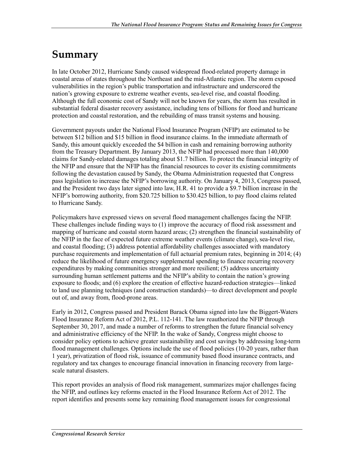## **Summary**

In late October 2012, Hurricane Sandy caused widespread flood-related property damage in coastal areas of states throughout the Northeast and the mid-Atlantic region. The storm exposed vulnerabilities in the region's public transportation and infrastructure and underscored the nation's growing exposure to extreme weather events, sea-level rise, and coastal flooding. Although the full economic cost of Sandy will not be known for years, the storm has resulted in substantial federal disaster recovery assistance, including tens of billions for flood and hurricane protection and coastal restoration, and the rebuilding of mass transit systems and housing.

Government payouts under the National Flood Insurance Program (NFIP) are estimated to be between \$12 billion and \$15 billion in flood insurance claims. In the immediate aftermath of Sandy, this amount quickly exceeded the \$4 billion in cash and remaining borrowing authority from the Treasury Department. By January 2013, the NFIP had processed more than 140,000 claims for Sandy-related damages totaling about \$1.7 billion. To protect the financial integrity of the NFIP and ensure that the NFIP has the financial resources to cover its existing commitments following the devastation caused by Sandy, the Obama Administration requested that Congress pass legislation to increase the NFIP's borrowing authority. On January 4, 2013, Congress passed, and the President two days later signed into law, H.R. 41 to provide a \$9.7 billion increase in the NFIP's borrowing authority, from \$20.725 billion to \$30.425 billion, to pay flood claims related to Hurricane Sandy.

Policymakers have expressed views on several flood management challenges facing the NFIP. These challenges include finding ways to (1) improve the accuracy of flood risk assessment and mapping of hurricane and coastal storm hazard areas; (2) strengthen the financial sustainability of the NFIP in the face of expected future extreme weather events (climate change), sea-level rise, and coastal flooding; (3) address potential affordability challenges associated with mandatory purchase requirements and implementation of full actuarial premium rates, beginning in 2014; (4) reduce the likelihood of future emergency supplemental spending to finance recurring recovery expenditures by making communities stronger and more resilient; (5) address uncertainty surrounding human settlement patterns and the NFIP's ability to contain the nation's growing exposure to floods; and (6) explore the creation of effective hazard-reduction strategies—linked to land use planning techniques (and construction standards)—to direct development and people out of, and away from, flood-prone areas.

Early in 2012, Congress passed and President Barack Obama signed into law the Biggert-Waters Flood Insurance Reform Act of 2012, P.L. 112-141. The law reauthorized the NFIP through September 30, 2017, and made a number of reforms to strengthen the future financial solvency and administrative efficiency of the NFIP. In the wake of Sandy, Congress might choose to consider policy options to achieve greater sustainability and cost savings by addressing long-term flood management challenges. Options include the use of flood policies (10-20 years, rather than 1 year), privatization of flood risk, issuance of community based flood insurance contracts, and regulatory and tax changes to encourage financial innovation in financing recovery from largescale natural disasters.

This report provides an analysis of flood risk management, summarizes major challenges facing the NFIP, and outlines key reforms enacted in the Flood Insurance Reform Act of 2012. The report identifies and presents some key remaining flood management issues for congressional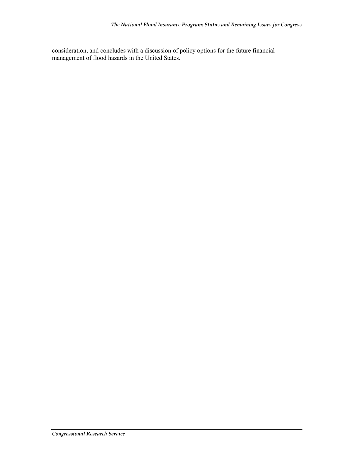consideration, and concludes with a discussion of policy options for the future financial management of flood hazards in the United States.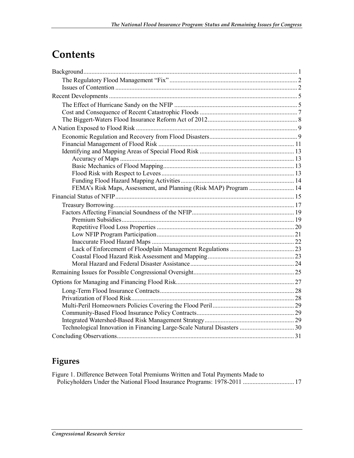## **Contents**

| FEMA's Risk Maps, Assessment, and Planning (Risk MAP) Program  14 |  |
|-------------------------------------------------------------------|--|
|                                                                   |  |
|                                                                   |  |
|                                                                   |  |
|                                                                   |  |
|                                                                   |  |
|                                                                   |  |
|                                                                   |  |
|                                                                   |  |
|                                                                   |  |
|                                                                   |  |
|                                                                   |  |
|                                                                   |  |
|                                                                   |  |
|                                                                   |  |
|                                                                   |  |
|                                                                   |  |
|                                                                   |  |
|                                                                   |  |
|                                                                   |  |

## **Figures**

| Figure 1. Difference Between Total Premiums Written and Total Payments Made to |  |
|--------------------------------------------------------------------------------|--|
| Policyholders Under the National Flood Insurance Programs: 1978-2011  17       |  |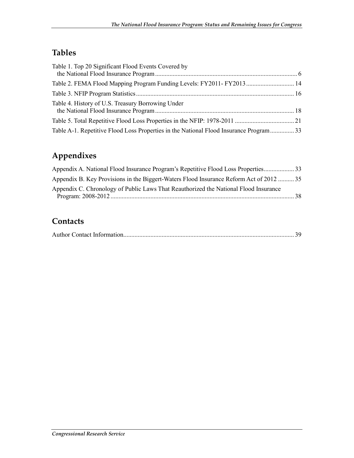## **Tables**

| Table 1. Top 20 Significant Flood Events Covered by                                    |  |
|----------------------------------------------------------------------------------------|--|
| Table 2. FEMA Flood Mapping Program Funding Levels: FY2011- FY2013 14                  |  |
|                                                                                        |  |
| Table 4. History of U.S. Treasury Borrowing Under                                      |  |
|                                                                                        |  |
| Table A-1. Repetitive Flood Loss Properties in the National Flood Insurance Program 33 |  |

## **Appendixes**

| Appendix A. National Flood Insurance Program's Repetitive Flood Loss Properties 33      |     |
|-----------------------------------------------------------------------------------------|-----|
| Appendix B. Key Provisions in the Biggert-Waters Flood Insurance Reform Act of 2012  35 |     |
| Appendix C. Chronology of Public Laws That Reauthorized the National Flood Insurance    | -38 |

## **Contacts**

|--|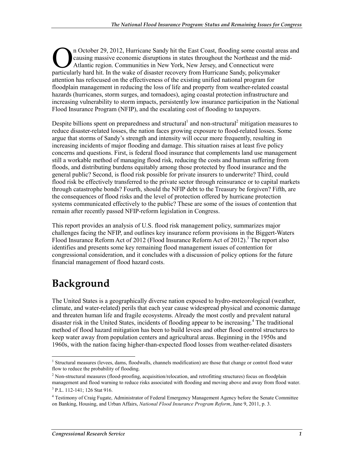n October 29, 2012, Hurricane Sandy hit the East Coast, flooding some coastal areas and causing massive economic disruptions in states throughout the Northeast and the mid-Atlantic region. Communities in New York, New Jersey, and Connecticut were n October 29, 2012, Hurricane Sandy hit the East Coast, flooding some coastal are causing massive economic disruptions in states throughout the Northeast and the reparticularly hard hit. In the wake of disaster recovery fr attention has refocused on the effectiveness of the existing unified national program for floodplain management in reducing the loss of life and property from weather-related coastal hazards (hurricanes, storm surges, and tornadoes), aging coastal protection infrastructure and increasing vulnerability to storm impacts, persistently low insurance participation in the National Flood Insurance Program (NFIP), and the escalating cost of flooding to taxpayers.

Despite billions spent on preparedness and structural<sup>1</sup> and non-structural<sup>2</sup> mitigation measures to reduce disaster-related losses, the nation faces growing exposure to flood-related losses. Some argue that storms of Sandy's strength and intensity will occur more frequently, resulting in increasing incidents of major flooding and damage. This situation raises at least five policy concerns and questions. First, is federal flood insurance that complements land use management still a workable method of managing flood risk, reducing the costs and human suffering from floods, and distributing burdens equitably among those protected by flood insurance and the general public? Second, is flood risk possible for private insurers to underwrite? Third, could flood risk be effectively transferred to the private sector through reinsurance or to capital markets through catastrophe bonds? Fourth, should the NFIP debt to the Treasury be forgiven? Fifth, are the consequences of flood risks and the level of protection offered by hurricane protection systems communicated effectively to the public? These are some of the issues of contention that remain after recently passed NFIP-reform legislation in Congress.

This report provides an analysis of U.S. flood risk management policy, summarizes major challenges facing the NFIP, and outlines key insurance reform provisions in the Biggert-Waters Flood Insurance Reform Act of 2012 (Flood Insurance Reform Act of 2012).<sup>3</sup> The report also identifies and presents some key remaining flood management issues of contention for congressional consideration, and it concludes with a discussion of policy options for the future financial management of flood hazard costs.

## **Background**

The United States is a geographically diverse nation exposed to hydro-meteorological (weather, climate, and water-related) perils that each year cause widespread physical and economic damage and threaten human life and fragile ecosystems. Already the most costly and prevalent natural disaster risk in the United States, incidents of flooding appear to be increasing.<sup>4</sup> The traditional method of flood hazard mitigation has been to build levees and other flood control structures to keep water away from population centers and agricultural areas. Beginning in the 1950s and 1960s, with the nation facing higher-than-expected flood losses from weather-related disasters

 1 Structural measures (levees, dams, floodwalls, channels modification) are those that change or control flood water flow to reduce the probability of flooding.

 $2$  Non-structural measures (flood-proofing, acquisition/relocation, and retrofitting structures) focus on floodplain management and flood warning to reduce risks associated with flooding and moving above and away from flood water.

<sup>3</sup> P.L. 112-141; 126 Stat 916.

<sup>4</sup> Testimony of Craig Fugate, Administrator of Federal Emergency Management Agency before the Senate Committee on Banking, Housing, and Urban Affairs, *National Flood Insurance Program Reform*, June 9, 2011, p. 3.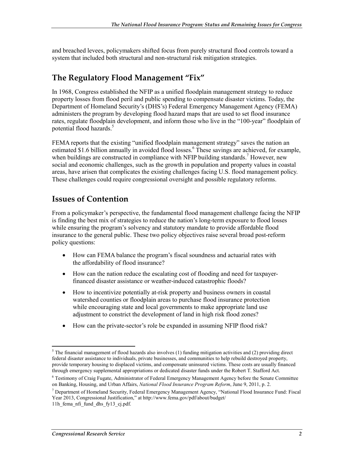and breached levees, policymakers shifted focus from purely structural flood controls toward a system that included both structural and non-structural risk mitigation strategies.

### **The Regulatory Flood Management "Fix"**

In 1968, Congress established the NFIP as a unified floodplain management strategy to reduce property losses from flood peril and public spending to compensate disaster victims. Today, the Department of Homeland Security's (DHS's) Federal Emergency Management Agency (FEMA) administers the program by developing flood hazard maps that are used to set flood insurance rates, regulate floodplain development, and inform those who live in the "100-year" floodplain of potential flood hazards $\frac{5}{3}$ 

FEMA reports that the existing "unified floodplain management strategy" saves the nation an estimated \$1.6 billion annually in avoided flood losses.<sup>6</sup> These savings are achieved, for example, when buildings are constructed in compliance with NFIP building standards.<sup>7</sup> However, new social and economic challenges, such as the growth in population and property values in coastal areas, have arisen that complicates the existing challenges facing U.S. flood management policy. These challenges could require congressional oversight and possible regulatory reforms.

### **Issues of Contention**

From a policymaker's perspective, the fundamental flood management challenge facing the NFIP is finding the best mix of strategies to reduce the nation's long-term exposure to flood losses while ensuring the program's solvency and statutory mandate to provide affordable flood insurance to the general public. These two policy objectives raise several broad post-reform policy questions:

- How can FEMA balance the program's fiscal soundness and actuarial rates with the affordability of flood insurance?
- How can the nation reduce the escalating cost of flooding and need for taxpayerfinanced disaster assistance or weather-induced catastrophic floods?
- How to incentivize potentially at-risk property and business owners in coastal watershed counties or floodplain areas to purchase flood insurance protection while encouraging state and local governments to make appropriate land use adjustment to constrict the development of land in high risk flood zones?
- How can the private-sector's role be expanded in assuming NFIP flood risk?

 $5$  The financial management of flood hazards also involves (1) funding mitigation activities and (2) providing direct federal disaster assistance to individuals, private businesses, and communities to help rebuild destroyed property, provide temporary housing to displaced victims, and compensate uninsured victims. These costs are usually financed through emergency supplemental appropriations or dedicated disaster funds under the Robert T. Stafford Act.

<sup>&</sup>lt;sup>6</sup> Testimony of Craig Fugate, Administrator of Federal Emergency Management Agency before the Senate Committee on Banking, Housing, and Urban Affairs, *National Flood Insurance Program Reform*, June 9, 2011, p. 2.

<sup>&</sup>lt;sup>7</sup> Department of Homeland Security, Federal Emergency Management Agency, "National Flood Insurance Fund: Fiscal Year 2013, Congressional Justification," at http://www.fema.gov/pdf/about/budget/

<sup>11</sup>h fema nfi fund dhs fy13 cj.pdf.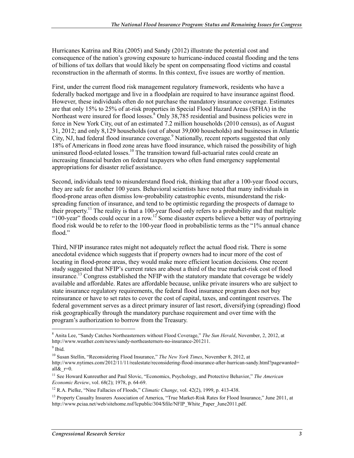Hurricanes Katrina and Rita (2005) and Sandy (2012) illustrate the potential cost and consequence of the nation's growing exposure to hurricane-induced coastal flooding and the tens of billions of tax dollars that would likely be spent on compensating flood victims and coastal reconstruction in the aftermath of storms. In this context, five issues are worthy of mention.

First, under the current flood risk management regulatory framework, residents who have a federally backed mortgage and live in a floodplain are required to have insurance against flood. However, these individuals often do not purchase the mandatory insurance coverage. Estimates are that only 15% to 25% of at-risk properties in Special Flood Hazard Areas (SFHA) in the Northeast were insured for flood losses.<sup>8</sup> Only 38,785 residential and business policies were in force in New York City, out of an estimated 7.2 million households (2010 census), as of August 31, 2012; and only 8,129 households (out of about 39,000 households) and businesses in Atlantic City, NJ, had federal flood insurance coverage.<sup>9</sup> Nationally, recent reports suggested that only 18% of Americans in flood zone areas have flood insurance, which raised the possibility of high uninsured flood-related losses.<sup>10</sup> The transition toward full-actuarial rates could create an increasing financial burden on federal taxpayers who often fund emergency supplemental appropriations for disaster relief assistance.

Second, individuals tend to misunderstand flood risk, thinking that after a 100-year flood occurs, they are safe for another 100 years. Behavioral scientists have noted that many individuals in flood-prone areas often dismiss low-probability catastrophic events, misunderstand the riskspreading function of insurance, and tend to be optimistic regarding the prospects of damage to their property.<sup>11</sup> The reality is that a 100-year flood only refers to a probability and that multiple "100-year" floods could occur in a row.<sup>12</sup> Some disaster experts believe a better way of portraying flood risk would be to refer to the 100-year flood in probabilistic terms as the "1% annual chance flood."

Third, NFIP insurance rates might not adequately reflect the actual flood risk. There is some anecdotal evidence which suggests that if property owners had to incur more of the cost of locating in flood-prone areas, they would make more efficient location decisions. One recent study suggested that NFIP's current rates are about a third of the true market-risk cost of flood insurance.<sup>13</sup> Congress established the NFIP with the statutory mandate that coverage be widely available and affordable. Rates are affordable because, unlike private insurers who are subject to state insurance regulatory requirements, the federal flood insurance program does not buy reinsurance or have to set rates to cover the cost of capital, taxes, and contingent reserves. The federal government serves as a direct primary insurer of last resort, diversifying (spreading) flood risk geographically through the mandatory purchase requirement and over time with the program's authorization to borrow from the Treasury.

<sup>&</sup>lt;u>.</u> <sup>8</sup> Anita Lee, "Sandy Catches Northeasterners without Flood Coverage," *The Sun Herald*, November, 2, 2012, at http://www.weather.com/news/sandy-northeasterners-no-insurance-201211.

<sup>&</sup>lt;sup>9</sup> Ibid.

<sup>10</sup> Susan Stellin, "Reconsidering Flood Insurance," *The New York Times*, November 8, 2012, at

http://www.nytimes.com/2012/11/11/realestate/reconsidering-flood-insurance-after-hurrican-sandy.html?pagewanted= all $\&$ r=0.

<sup>&</sup>lt;sup>11</sup> See Howard Kunreuther and Paul Slovic, "Economics, Psychology, and Protective Behavior," The American *Economic Review*, vol. 68(2); 1978, p. 64-69.

<sup>&</sup>lt;sup>12</sup> R.A. Pielke, "Nine Fallacies of Floods," *Climatic Change*, vol. 42(2), 1999, p. 413-438.

<sup>&</sup>lt;sup>13</sup> Property Casualty Insurers Association of America, "True Market-Risk Rates for Flood Insurance," June 2011, at http://www.pciaa.net/web/sitehome.nsf/lcpublic/304/\$file/NFIP\_White\_Paper\_June2011.pdf.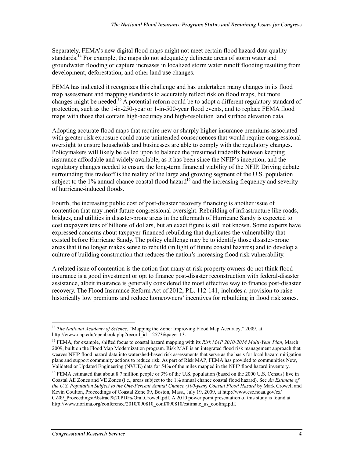Separately, FEMA's new digital flood maps might not meet certain flood hazard data quality standards.<sup>14</sup> For example, the maps do not adequately delineate areas of storm water and groundwater flooding or capture increases in localized storm water runoff flooding resulting from development, deforestation, and other land use changes.

FEMA has indicated it recognizes this challenge and has undertaken many changes in its flood map assessment and mapping standards to accurately reflect risk on flood maps, but more changes might be needed.15 A potential reform could be to adopt a different regulatory standard of protection, such as the 1-in-250-year or 1-in-500-year flood events, and to replace FEMA flood maps with those that contain high-accuracy and high-resolution land surface elevation data.

Adopting accurate flood maps that require new or sharply higher insurance premiums associated with greater risk exposure could cause unintended consequences that would require congressional oversight to ensure households and businesses are able to comply with the regulatory changes. Policymakers will likely be called upon to balance the presumed tradeoffs between keeping insurance affordable and widely available, as it has been since the NFIP's inception, and the regulatory changes needed to ensure the long-term financial viability of the NFIP. Driving debate surrounding this tradeoff is the reality of the large and growing segment of the U.S. population subject to the  $1\%$  annual chance coastal flood hazard<sup>16</sup> and the increasing frequency and severity of hurricane-induced floods.

Fourth, the increasing public cost of post-disaster recovery financing is another issue of contention that may merit future congressional oversight. Rebuilding of infrastructure like roads, bridges, and utilities in disaster-prone areas in the aftermath of Hurricane Sandy is expected to cost taxpayers tens of billions of dollars, but an exact figure is still not known. Some experts have expressed concerns about taxpayer-financed rebuilding that duplicates the vulnerability that existed before Hurricane Sandy. The policy challenge may be to identify those disaster-prone areas that it no longer makes sense to rebuild (in light of future coastal hazards) and to develop a culture of building construction that reduces the nation's increasing flood risk vulnerability.

A related issue of contention is the notion that many at-risk property owners do not think flood insurance is a good investment or opt to finance post-disaster reconstruction with federal-disaster assistance, albeit insurance is generally considered the most effective way to finance post-disaster recovery. The Flood Insurance Reform Act of 2012, P.L. 112-141, includes a provision to raise historically low premiums and reduce homeowners' incentives for rebuilding in flood risk zones.

<sup>&</sup>lt;u>.</u> <sup>14</sup> *The National Academy of Science*, "Mapping the Zone: Improving Flood Map Accuracy," 2009, at http://www.nap.edu/openbook.php?record\_id=12573&page=13.

<sup>15</sup> FEMA, for example, shifted focus to coastal hazard mapping with its *Risk MAP 2010-2014 Multi-Year Plan*, March 2009, built on the Flood Map Modernization program. Risk MAP is an integrated flood risk management approach that weaves NFIP flood hazard data into watershed-based risk assessments that serve as the basis for local hazard mitigation plans and support community actions to reduce risk. As part of Risk MAP, FEMA has provided to communities New, Validated or Updated Engineering (NVUE) data for 54% of the miles mapped in the NFIP flood hazard inventory.

<sup>&</sup>lt;sup>16</sup> FEMA estimated that about 8.7 million people or 3% of the U.S. population (based on the 2000 U.S. Census) live in Coastal AE Zones and VE Zones (i.e., areas subject to the 1% annual chance coastal flood hazard). See *An Estimate of the U.S. Population Subject to the One-Percent Annual Chance (100-year) Coastal Flood Hazard* by Mark Crowell and Kevin Coulton, Proceedings of Coastal Zone 09, Boston, Mass., July 19, 2009, at http://www.csc.noaa.gov/cz/ CZ09\_Proceedings/Abstract%20PDFs/Oral.Crowell.pdf. A 2010 power point presentation of this study is found at http://www.norfma.org/conference/2010/090810\_conf/090810/estimate\_us\_cooling.pdf.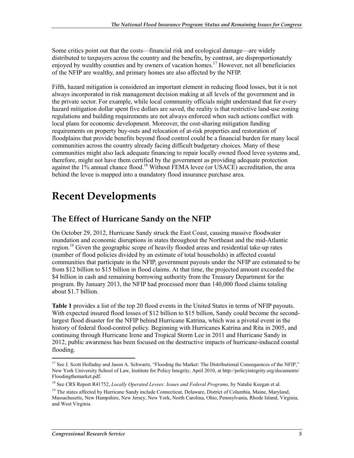Some critics point out that the costs—financial risk and ecological damage—are widely distributed to taxpayers across the country and the benefits, by contrast, are disproportionately enjoyed by wealthy counties and by owners of vacation homes.<sup>17</sup> However, not all beneficiaries of the NFIP are wealthy, and primary homes are also affected by the NFIP.

Fifth, hazard mitigation is considered an important element in reducing flood losses, but it is not always incorporated in risk management decision making at all levels of the government and in the private sector. For example, while local community officials might understand that for every hazard mitigation dollar spent five dollars are saved, the reality is that restrictive land-use zoning regulations and building requirements are not always enforced when such actions conflict with local plans for economic development. Moreover, the cost-sharing mitigation funding requirements on property buy-outs and relocation of at-risk properties and restoration of floodplains that provide benefits beyond flood control could be a financial burden for many local communities across the country already facing difficult budgetary choices. Many of these communities might also lack adequate financing to repair locally owned flood levee systems and, therefore, might not have them certified by the government as providing adequate protection against the 1% annual chance flood.<sup>18</sup> Without FEMA levee (or USACE) accreditation, the area behind the levee is mapped into a mandatory flood insurance purchase area.

## **Recent Developments**

### **The Effect of Hurricane Sandy on the NFIP**

On October 29, 2012, Hurricane Sandy struck the East Coast, causing massive floodwater inundation and economic disruptions in states throughout the Northeast and the mid-Atlantic region.<sup>19</sup> Given the geographic scope of heavily flooded areas and residential take-up rates (number of flood policies divided by an estimate of total households) in affected coastal communities that participate in the NFIP, government payouts under the NFIP are estimated to be from \$12 billion to \$15 billion in flood claims. At that time, the projected amount exceeded the \$4 billion in cash and remaining borrowing authority from the Treasury Department for the program. By January 2013, the NFIP had processed more than 140,000 flood claims totaling about \$1.7 billion.

**Table 1** provides a list of the top 20 flood events in the United States in terms of NFIP payouts. With expected insured flood losses of \$12 billion to \$15 billion, Sandy could become the secondlargest flood disaster for the NFIP behind Hurricane Katrina, which was a pivotal event in the history of federal flood-control policy. Beginning with Hurricanes Katrina and Rita in 2005, and continuing through Hurricane Irene and Tropical Storm Lee in 2011 and Hurricane Sandy in 2012, public awareness has been focused on the destructive impacts of hurricane-induced coastal flooding.

<sup>&</sup>lt;sup>17</sup> See J. Scott Holladay and Jason A. Schwartz, "Flooding the Market: The Distributional Consequences of the NFIP," New York University School of Law, Institute for Policy Integrit*y*, April 2010, at http://policyintegrity.org/documents/ Floodingthemarket.pdf.

<sup>18</sup> See CRS Report R41752, *Locally Operated Levees: Issues and Federal Programs*, by Natalie Keegan et al.

<sup>&</sup>lt;sup>19</sup> The states affected by Hurricane Sandy include Connecticut, Delaware, District of Columbia, Maine, Maryland, Massachusetts, New Hampshire, New Jersey, New York, North Carolina, Ohio, Pennsylvania, Rhode Island, Virginia, and West Virginia.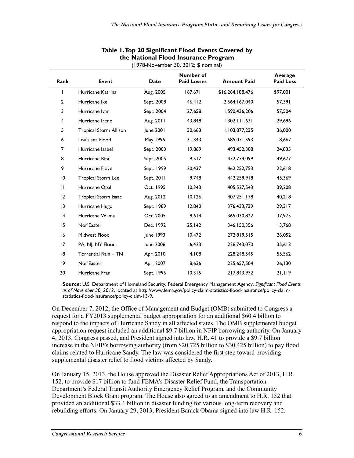| Rank                    | <b>Event</b>                  | <b>Date</b> | Number of<br><b>Paid Losses</b> | <b>Amount Paid</b> | Average<br><b>Paid Loss</b> |
|-------------------------|-------------------------------|-------------|---------------------------------|--------------------|-----------------------------|
| $\mathsf{I}$            | Hurricane Katrina             | Aug. 2005   | 167,671                         | \$16,264,188,476   | \$97,001                    |
| $\overline{2}$          | Hurricane Ike                 | Sept. 2008  | 46,412                          | 2,664,167,040      | 57,391                      |
| 3                       | Hurricane Ivan                | Sept. 2004  | 27,658                          | 1,590,436,206      | 57,504                      |
| $\overline{\mathbf{4}}$ | Hurricane Irene               | Aug. 2011   | 43,848                          | 1,302,111,631      | 29,696                      |
| 5                       | <b>Tropical Storm Allison</b> | June 2001   | 30,663                          | 1,103,877,235      | 36,000                      |
| 6                       | Louisiana Flood               | May 1995    | 31,343                          | 585,071,593        | 18,667                      |
| $\overline{7}$          | Hurricane Isabel              | Sept. 2003  | 19,869                          | 493,452,308        | 24,835                      |
| 8                       | Hurricane Rita                | Sept. 2005  | 9,517                           | 472,774,099        | 49,677                      |
| 9                       | Hurricane Floyd               | Sept. 1999  | 20,437                          | 462,252,753        | 22,618                      |
| 10                      | Tropical Storm Lee            | Sept. 2011  | 9,748                           | 442,259,918        | 45,369                      |
| $\mathbf{H}$            | Hurricane Opal                | Oct. 1995   | 10,343                          | 405,527,543        | 39,208                      |
| 12                      | Tropical Storm Isaac          | Aug. 2012   | 10,126                          | 407,251,178        | 40,218                      |
| $\overline{13}$         | Hurricane Hugo                | Sept. 1989  | 12,840                          | 376,433,739        | 29,317                      |
| 4                       | Hurricane Wilma               | Oct. 2005   | 9,614                           | 365,030,822        | 37,975                      |
| 15                      | Nor'Easter                    | Dec. 1992   | 25,142                          | 346, 150, 356      | 13,768                      |
| 16                      | Midwest Flood                 | June 1993   | 10,472                          | 272,819,515        | 26,052                      |
| 17                      | PA, NJ, NY Floods             | June 2006   | 6,423                           | 228,743,070        | 35,613                      |
| 8                       | Torrential Rain - TN          | Apr. 2010   | 4,108                           | 228,248,545        | 55,562                      |
| 19                      | Nor'Easter                    | Apr. 2007   | 8,636                           | 225,657,504        | 26,130                      |
| 20                      | Hurricane Fran                | Sept. 1996  | 10,315                          | 217,843,972        | 21,119                      |

#### **Table 1. Top 20 Significant Flood Events Covered by the National Flood Insurance Program**  (1978-November 30, 2012; \$ nominal)

**Source:** U.S. Department of Homeland Security, Federal Emergency Management Agency, *Significant Flood Events as of November 30, 2012*, located at http://www.fema.gov/policy-claim-statistics-flood-insurance/policy-claimstatistics-flood-insurance/policy-claim-13-9.

On December 7, 2012, the Office of Management and Budget (OMB) submitted to Congress a request for a FY2013 supplemental budget appropriation for an additional \$60.4 billion to respond to the impacts of Hurricane Sandy in all affected states. The OMB supplemental budget appropriation request included an additional \$9.7 billion in NFIP borrowing authority. On January 4, 2013, Congress passed, and President signed into law, H.R. 41 to provide a \$9.7 billion increase in the NFIP's borrowing authority (from \$20.725 billion to \$30.425 billion) to pay flood claims related to Hurricane Sandy. The law was considered the first step toward providing supplemental disaster relief to flood victims affected by Sandy.

On January 15, 2013, the House approved the Disaster Relief Appropriations Act of 2013, H.R. 152, to provide \$17 billion to fund FEMA's Disaster Relief Fund, the Transportation Department's Federal Transit Authority Emergency Relief Program, and the Community Development Block Grant program. The House also agreed to an amendment to H.R. 152 that provided an additional \$33.4 billion in disaster funding for various long-term recovery and rebuilding efforts. On January 29, 2013, President Barack Obama signed into law H.R. 152.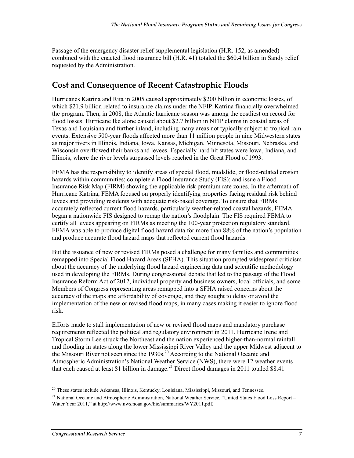Passage of the emergency disaster relief supplemental legislation (H.R. 152, as amended) combined with the enacted flood insurance bill (H.R. 41) totaled the \$60.4 billion in Sandy relief requested by the Administration.

### **Cost and Consequence of Recent Catastrophic Floods**

Hurricanes Katrina and Rita in 2005 caused approximately \$200 billion in economic losses, of which \$21.9 billion related to insurance claims under the NFIP. Katrina financially overwhelmed the program. Then, in 2008, the Atlantic hurricane season was among the costliest on record for flood losses. Hurricane Ike alone caused about \$2.7 billion in NFIP claims in coastal areas of Texas and Louisiana and further inland, including many areas not typically subject to tropical rain events. Extensive 500-year floods affected more than 11 million people in nine Midwestern states as major rivers in Illinois, Indiana, Iowa, Kansas, Michigan, Minnesota, Missouri, Nebraska, and Wisconsin overflowed their banks and levees. Especially hard hit states were Iowa, Indiana, and Illinois, where the river levels surpassed levels reached in the Great Flood of 1993.

FEMA has the responsibility to identify areas of special flood, mudslide, or flood-related erosion hazards within communities; complete a Flood Insurance Study (FIS); and issue a Flood Insurance Risk Map (FIRM) showing the applicable risk premium rate zones. In the aftermath of Hurricane Katrina, FEMA focused on properly identifying properties facing residual risk behind levees and providing residents with adequate risk-based coverage. To ensure that FIRMs accurately reflected current flood hazards, particularly weather-related coastal hazards, FEMA began a nationwide FIS designed to remap the nation's floodplain. The FIS required FEMA to certify all levees appearing on FIRMs as meeting the 100-year protection regulatory standard. FEMA was able to produce digital flood hazard data for more than 88% of the nation's population and produce accurate flood hazard maps that reflected current flood hazards.

But the issuance of new or revised FIRMs posed a challenge for many families and communities remapped into Special Flood Hazard Areas (SFHA). This situation prompted widespread criticism about the accuracy of the underlying flood hazard engineering data and scientific methodology used in developing the FIRMs. During congressional debate that led to the passage of the Flood Insurance Reform Act of 2012, individual property and business owners, local officials, and some Members of Congress representing areas remapped into a SFHA raised concerns about the accuracy of the maps and affordability of coverage, and they sought to delay or avoid the implementation of the new or revised flood maps, in many cases making it easier to ignore flood risk.

Efforts made to stall implementation of new or revised flood maps and mandatory purchase requirements reflected the political and regulatory environment in 2011. Hurricane Irene and Tropical Storm Lee struck the Northeast and the nation experienced higher-than-normal rainfall and flooding in states along the lower Mississippi River Valley and the upper Midwest adjacent to the Missouri River not seen since the 1930s.<sup>20</sup> According to the National Oceanic and Atmospheric Administration's National Weather Service (NWS), there were 12 weather events that each caused at least \$1 billion in damage.<sup>21</sup> Direct flood damages in 2011 totaled \$8.41

<sup>&</sup>lt;sup>20</sup> These states include Arkansas, Illinois, Kentucky, Louisiana, Mississippi, Missouri, and Tennessee.

<sup>&</sup>lt;sup>21</sup> National Oceanic and Atmospheric Administration, National Weather Service, "United States Flood Loss Report – Water Year 2011," at http://www.nws.noaa.gov/hic/summaries/WY2011.pdf.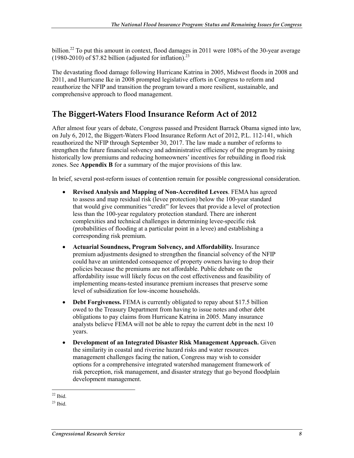billion.<sup>22</sup> To put this amount in context, flood damages in 2011 were 108% of the 30-year average  $(1980-2010)$  of \$7.82 billion (adjusted for inflation).<sup>23</sup>

The devastating flood damage following Hurricane Katrina in 2005, Midwest floods in 2008 and 2011, and Hurricane Ike in 2008 prompted legislative efforts in Congress to reform and reauthorize the NFIP and transition the program toward a more resilient, sustainable, and comprehensive approach to flood management.

## **The Biggert-Waters Flood Insurance Reform Act of 2012**

After almost four years of debate, Congress passed and President Barrack Obama signed into law, on July 6, 2012, the Biggert-Waters Flood Insurance Reform Act of 2012, P.L. 112-141, which reauthorized the NFIP through September 30, 2017. The law made a number of reforms to strengthen the future financial solvency and administrative efficiency of the program by raising historically low premiums and reducing homeowners' incentives for rebuilding in flood risk zones. See **Appendix B** for a summary of the major provisions of this law.

In brief, several post-reform issues of contention remain for possible congressional consideration.

- **Revised Analysis and Mapping of Non-Accredited Levees**. FEMA has agreed to assess and map residual risk (levee protection) below the 100-year standard that would give communities "credit" for levees that provide a level of protection less than the 100-year regulatory protection standard. There are inherent complexities and technical challenges in determining levee-specific risk (probabilities of flooding at a particular point in a levee) and establishing a corresponding risk premium.
- **Actuarial Soundness, Program Solvency, and Affordability.** Insurance premium adjustments designed to strengthen the financial solvency of the NFIP could have an unintended consequence of property owners having to drop their policies because the premiums are not affordable. Public debate on the affordability issue will likely focus on the cost effectiveness and feasibility of implementing means-tested insurance premium increases that preserve some level of subsidization for low-income households.
- **Debt Forgiveness.** FEMA is currently obligated to repay about \$17.5 billion owed to the Treasury Department from having to issue notes and other debt obligations to pay claims from Hurricane Katrina in 2005. Many insurance analysts believe FEMA will not be able to repay the current debt in the next 10 years.
- **Development of an Integrated Disaster Risk Management Approach.** Given the similarity in coastal and riverine hazard risks and water resources management challenges facing the nation, Congress may wish to consider options for a comprehensive integrated watershed management framework of risk perception, risk management, and disaster strategy that go beyond floodplain development management.

```
1
22 Ibid.
```
 $23$  Ibid.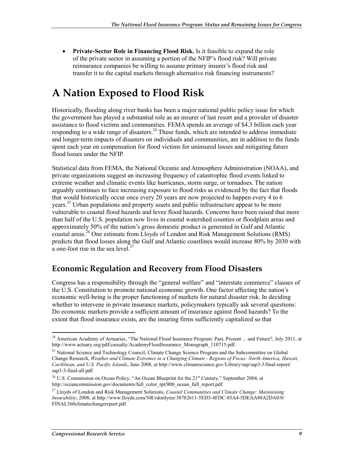• **Private-Sector Role in Financing Flood Risk.** Is it feasible to expand the role of the private sector in assuming a portion of the NFIP's flood risk? Will private reinsurance companies be willing to assume primary insurer's flood risk and transfer it to the capital markets through alternative risk financing instruments?

## **A Nation Exposed to Flood Risk**

Historically, flooding along river banks has been a major national public policy issue for which the government has played a substantial role as an insurer of last resort and a provider of disaster assistance to flood victims and communities. FEMA spends an average of \$4.3 billion each year responding to a wide range of disasters.<sup>24</sup> These funds, which are intended to address immediate and longer-term impacts of disasters on individuals and communities, are in addition to the funds spent each year on compensation for flood victims for uninsured losses and mitigating future flood losses under the NFIP.

Statistical data from FEMA, the National Oceanic and Atmosphere Administration (NOAA), and private organizations suggest an increasing frequency of catastrophic flood events linked to extreme weather and climatic events like hurricanes, storm surge, or tornadoes. The nation arguably continues to face increasing exposure to flood risks as evidenced by the fact that floods that would historically occur once every 20 years are now projected to happen every 4 to 6 years.<sup>25</sup> Urban populations and property assets and public infrastructure appear to be more vulnerable to coastal flood hazards and levee flood hazards. Concerns have been raised that more than half of the U.S. population now lives in coastal watershed counties or floodplain areas and approximately 50% of the nation's gross domestic product is generated in Gulf and Atlantic coastal areas.26 One estimate from Lloyds of London and Risk Management Solutions (RMS) predicts that flood losses along the Gulf and Atlantic coastlines would increase 80% by 2030 with a one-foot rise in the sea level. $27$ 

## **Economic Regulation and Recovery from Flood Disasters**

Congress has a responsibility through the "general welfare" and "interstate commerce" clauses of the U.S. Constitution to promote national economic growth. One factor affecting the nation's economic well-being is the proper functioning of markets for natural disaster risk. In deciding whether to intervene in private insurance markets, policymakers typically ask several questions: Do economic markets provide a sufficient amount of insurance against flood hazards? To the extent that flood insurance exists, are the insuring firms sufficiently capitalized so that

<sup>&</sup>lt;u>.</u> <sup>24</sup> American Academy of Actuaries, "The National Flood Insurance Program: Past, Present ... and Future?, July 2011, at http://www.actuary.org/pdf/casualty/AcademyFloodInsurance\_Monograph\_110715.pdf.

<sup>&</sup>lt;sup>25</sup> National Science and Technology Council, Climate Change Science Program and the Subcommittee on Global Change Research, *Weather and Climate Extremes in a Changing Climate - Regions of Focus: North America, Hawaii, Caribbean, and U.S. Pacific Islands*, June 2008, at http://www.climatescience.gov/Library/sap/sap3-3/final-report/ sap3-3-final-all.pdf.

<sup>&</sup>lt;sup>26</sup> U.S. Commission on Ocean Policy, "An Ocean Blueprint for the 21<sup>st</sup> Century," September 2004, at http://oceancommission.gov/documents/full\_color\_rpt/000\_ocean\_full\_report.pdf.

<sup>27</sup> Lloyds of London and Risk Management Solutions, *Coastal Communities and Climate Change: Maintaining Insurability*, 2008, at http://www.lloyds.com/NR/rdonlyres/38782611-5ED3-4FDC-85A4-5DEAA88A2DA0/0/ FINAL360climatechangereport.pdf.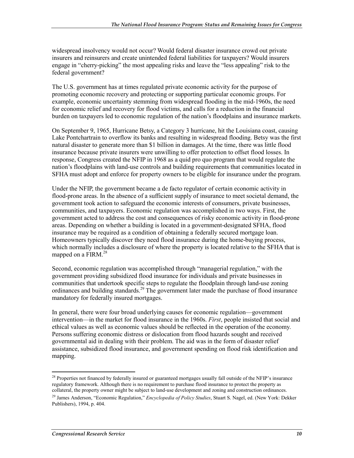widespread insolvency would not occur? Would federal disaster insurance crowd out private insurers and reinsurers and create unintended federal liabilities for taxpayers? Would insurers engage in "cherry-picking" the most appealing risks and leave the "less appealing" risk to the federal government?

The U.S. government has at times regulated private economic activity for the purpose of promoting economic recovery and protecting or supporting particular economic groups. For example, economic uncertainty stemming from widespread flooding in the mid-1960s, the need for economic relief and recovery for flood victims, and calls for a reduction in the financial burden on taxpayers led to economic regulation of the nation's floodplains and insurance markets.

On September 9, 1965, Hurricane Betsy, a Category 3 hurricane, hit the Louisiana coast, causing Lake Pontchartrain to overflow its banks and resulting in widespread flooding. Betsy was the first natural disaster to generate more than \$1 billion in damages. At the time, there was little flood insurance because private insurers were unwilling to offer protection to offset flood losses. In response, Congress created the NFIP in 1968 as a quid pro quo program that would regulate the nation's floodplains with land-use controls and building requirements that communities located in SFHA must adopt and enforce for property owners to be eligible for insurance under the program.

Under the NFIP, the government became a de facto regulator of certain economic activity in flood-prone areas. In the absence of a sufficient supply of insurance to meet societal demand, the government took action to safeguard the economic interests of consumers, private businesses, communities, and taxpayers. Economic regulation was accomplished in two ways. First, the government acted to address the cost and consequences of risky economic activity in flood-prone areas. Depending on whether a building is located in a government-designated SFHA, flood insurance may be required as a condition of obtaining a federally secured mortgage loan. Homeowners typically discover they need flood insurance during the home-buying process, which normally includes a disclosure of where the property is located relative to the SFHA that is mapped on a  $FIRM.<sup>28</sup>$ 

Second, economic regulation was accomplished through "managerial regulation," with the government providing subsidized flood insurance for individuals and private businesses in communities that undertook specific steps to regulate the floodplain through land-use zoning ordinances and building standards.<sup>29</sup> The government later made the purchase of flood insurance mandatory for federally insured mortgages.

In general, there were four broad underlying causes for economic regulation—government intervention—in the market for flood insurance in the 1960s. *First*, people insisted that social and ethical values as well as economic values should be reflected in the operation of the economy. Persons suffering economic distress or dislocation from flood hazards sought and received governmental aid in dealing with their problem. The aid was in the form of disaster relief assistance, subsidized flood insurance, and government spending on flood risk identification and mapping.

<sup>1</sup> <sup>28</sup> Properties not financed by federally insured or guaranteed mortgages usually fall outside of the NFIP's insurance regulatory framework. Although there is no requirement to purchase flood insurance to protect the property as collateral, the property owner might be subject to land-use development and zoning and construction ordinances.

<sup>29</sup> James Anderson, "Economic Regulation," *Encyclopedia of Policy Studies*, Stuart S. Nagel, ed. (New York: Dekker Publishers), 1994, p. 404.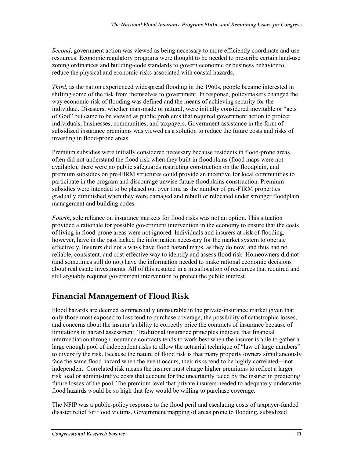*Second*, government action was viewed as being necessary to more efficiently coordinate and use resources. Economic regulatory programs were thought to be needed to prescribe certain land-use zoning ordinances and building-code standards to govern economic or business behavior to reduce the physical and economic risks associated with coastal hazards.

*Third*, as the nation experienced widespread flooding in the 1960s, people became interested in shifting some of the risk from themselves to government. In response, policymakers changed the way economic risk of flooding was defined and the means of achieving security for the individual. Disasters, whether man-made or natural, were initially considered inevitable or "acts of God" but came to be viewed as public problems that required government action to protect individuals, businesses, communities, and taxpayers. Government assistance in the form of subsidized insurance premiums was viewed as a solution to reduce the future costs and risks of investing in flood-prone areas.

Premium subsidies were initially considered necessary because residents in flood-prone areas often did not understand the flood risk when they built in floodplains (flood maps were not available), there were no public safeguards restricting construction on the floodplain, and premium subsidies on pre-FIRM structures could provide an incentive for local communities to participate in the program and discourage unwise future floodplains construction. Premium subsidies were intended to be phased out over time as the number of pre-FIRM properties gradually diminished when they were damaged and rebuilt or relocated under stronger floodplain management and building codes.

*Fourth*, sole reliance on insurance markets for flood risks was not an option. This situation provided a rationale for possible government intervention in the economy to ensure that the costs of living in flood-prone areas were not ignored. Individuals and insurers at risk of flooding, however, have in the past lacked the information necessary for the market system to operate effectively. Insurers did not always have flood hazard maps, as they do now, and thus had no reliable, consistent, and cost-effective way to identify and assess flood risk. Homeowners did not (and sometimes still do not) have the information needed to make rational economic decisions about real estate investments. All of this resulted in a misallocation of resources that required and still arguably requires government intervention to protect the public interest.

## **Financial Management of Flood Risk**

Flood hazards are deemed commercially uninsurable in the private-insurance market given that only those most exposed to loss tend to purchase coverage, the possibility of catastrophic losses, and concerns about the insurer's ability to correctly price the contracts of insurance because of limitations in hazard assessment. Traditional insurance principles indicate that financial intermediation through insurance contracts tends to work best when the insurer is able to gather a large enough pool of independent risks to allow the actuarial technique of "law of large numbers" to diversify the risk. Because the nature of flood risk is that many property owners simultaneously face the same flood hazard when the event occurs, their risks tend to be highly correlated—not independent. Correlated risk means the insurer must charge higher premiums to reflect a larger risk load or administrative costs that account for the uncertainty faced by the insurer in predicting future losses of the pool. The premium level that private insurers needed to adequately underwrite flood hazards would be so high that few would be willing to purchase coverage.

The NFIP was a public-policy response to the flood peril and escalating costs of taxpayer-funded disaster relief for flood victims. Government mapping of areas prone to flooding, subsidized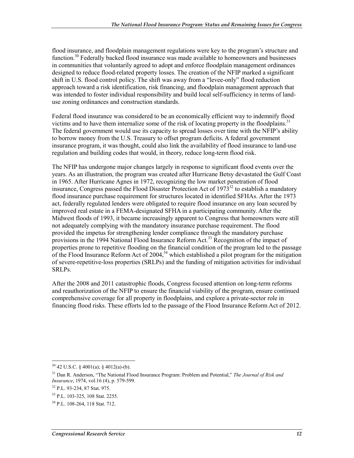flood insurance, and floodplain management regulations were key to the program's structure and function.<sup>30</sup> Federally backed flood insurance was made available to homeowners and businesses in communities that voluntarily agreed to adopt and enforce floodplain management ordinances designed to reduce flood-related property losses. The creation of the NFIP marked a significant shift in U.S. flood control policy. The shift was away from a "levee-only" flood reduction approach toward a risk identification, risk financing, and floodplain management approach that was intended to foster individual responsibility and build local self-sufficiency in terms of landuse zoning ordinances and construction standards.

Federal flood insurance was considered to be an economically efficient way to indemnify flood victims and to have them internalize some of the risk of locating property in the floodplains.<sup>31</sup> The federal government would use its capacity to spread losses over time with the NFIP's ability to borrow money from the U.S. Treasury to offset program deficits. A federal government insurance program, it was thought, could also link the availability of flood insurance to land-use regulation and building codes that would, in theory, reduce long-term flood risk.

The NFIP has undergone major changes largely in response to significant flood events over the years. As an illustration, the program was created after Hurricane Betsy devastated the Gulf Coast in 1965. After Hurricane Agnes in 1972, recognizing the low market penetration of flood insurance, Congress passed the Flood Disaster Protection Act of  $1973^{32}$  to establish a mandatory flood insurance purchase requirement for structures located in identified SFHAs. After the 1973 act, federally regulated lenders were obligated to require flood insurance on any loan secured by improved real estate in a FEMA-designated SFHA in a participating community. After the Midwest floods of 1993, it became increasingly apparent to Congress that homeowners were still not adequately complying with the mandatory insurance purchase requirement. The flood provided the impetus for strengthening lender compliance through the mandatory purchase provisions in the 1994 National Flood Insurance Reform Act.<sup>33</sup> Recognition of the impact of properties prone to repetitive flooding on the financial condition of the program led to the passage of the Flood Insurance Reform Act of  $2004<sup>34</sup>$  which established a pilot program for the mitigation of severe-repetitive-loss properties (SRLPs) and the funding of mitigation activities for individual SRLPs.

After the 2008 and 2011 catastrophic floods, Congress focused attention on long-term reforms and reauthorization of the NFIP to ensure the financial viability of the program, ensure continued comprehensive coverage for all property in floodplains, and explore a private-sector role in financing flood risks. These efforts led to the passage of the Flood Insurance Reform Act of 2012.

<sup>1</sup>  $30$  42 U.S.C. § 4001(a); § 4012(a)-(b).

<sup>31</sup> Dan R. Anderson, "The National Flood Insurance Program: Problem and Potential," *The Journal of Risk and Insurance*, 1974, vol.16 (4), p. 579-599.

<sup>32</sup> P.L. 93-234, 87 Stat. 975.

<sup>33</sup> P.L. 103-325, 108 Stat. 2255.

<sup>34</sup> P.L. 108-264, 118 Stat. 712.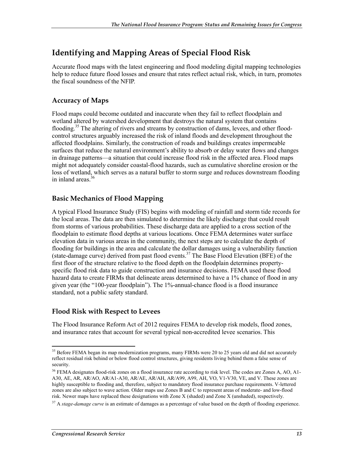## **Identifying and Mapping Areas of Special Flood Risk**

Accurate flood maps with the latest engineering and flood modeling digital mapping technologies help to reduce future flood losses and ensure that rates reflect actual risk, which, in turn, promotes the fiscal soundness of the NFIP.

#### **Accuracy of Maps**

Flood maps could become outdated and inaccurate when they fail to reflect floodplain and wetland altered by watershed development that destroys the natural system that contains flooding.<sup>35</sup> The altering of rivers and streams by construction of dams, levees, and other floodcontrol structures arguably increased the risk of inland floods and development throughout the affected floodplains. Similarly, the construction of roads and buildings creates impermeable surfaces that reduce the natural environment's ability to absorb or delay water flows and changes in drainage patterns—a situation that could increase flood risk in the affected area. Flood maps might not adequately consider coastal-flood hazards, such as cumulative shoreline erosion or the loss of wetland, which serves as a natural buffer to storm surge and reduces downstream flooding in inland areas  $36$ 

#### **Basic Mechanics of Flood Mapping**

A typical Flood Insurance Study (FIS) begins with modeling of rainfall and storm tide records for the local areas. The data are then simulated to determine the likely discharge that could result from storms of various probabilities. These discharge data are applied to a cross section of the floodplain to estimate flood depths at various locations. Once FEMA determines water surface elevation data in various areas in the community, the next steps are to calculate the depth of flooding for buildings in the area and calculate the dollar damages using a vulnerability function (state-damage curve) derived from past flood events.<sup>37</sup> The Base Flood Elevation (BFE) of the first floor of the structure relative to the flood depth on the floodplain determines propertyspecific flood risk data to guide construction and insurance decisions. FEMA used these flood hazard data to create FIRMs that delineate areas determined to have a 1% chance of flood in any given year (the "100-year floodplain"). The 1%-annual-chance flood is a flood insurance standard, not a public safety standard.

#### **Flood Risk with Respect to Levees**

The Flood Insurance Reform Act of 2012 requires FEMA to develop risk models, flood zones, and insurance rates that account for several typical non-accredited levee scenarios. This

<sup>&</sup>lt;sup>35</sup> Before FEMA began its map modernization programs, many FIRMs were 20 to 25 years old and did not accurately reflect residual risk behind or below flood control structures, giving residents living behind them a false sense of security.

<sup>&</sup>lt;sup>36</sup> FEMA designates flood-risk zones on a flood insurance rate according to risk level. The codes are Zones A, AO, A1-A30, AE, AR, AR/AO, AR/A1-A30, AR/AE, AR/AH, AR/A99, A99, AH, VO, V1-V30, VE, and V. These zones are highly susceptible to flooding and, therefore, subject to mandatory flood insurance purchase requirements. V-lettered zones are also subject to wave action. Older maps use Zones B and C to represent areas of moderate- and low-flood risk. Newer maps have replaced these designations with Zone X (shaded) and Zone X (unshaded), respectively.

<sup>&</sup>lt;sup>37</sup> A *stage-damage curve* is an estimate of damages as a percentage of value based on the depth of flooding experience.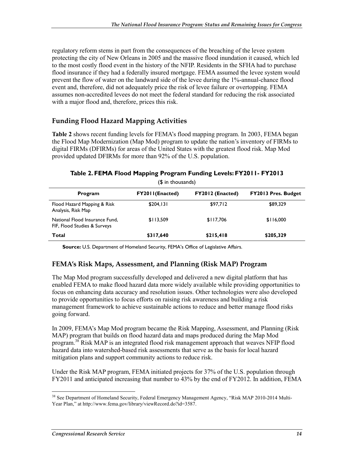regulatory reform stems in part from the consequences of the breaching of the levee system protecting the city of New Orleans in 2005 and the massive flood inundation it caused, which led to the most costly flood event in the history of the NFIP. Residents in the SFHA had to purchase flood insurance if they had a federally insured mortgage. FEMA assumed the levee system would prevent the flow of water on the landward side of the levee during the 1%-annual-chance flood event and, therefore, did not adequately price the risk of levee failure or overtopping. FEMA assumes non-accredited levees do not meet the federal standard for reducing the risk associated with a major flood and, therefore, prices this risk.

#### **Funding Flood Hazard Mapping Activities**

**Table 2** shows recent funding levels for FEMA's flood mapping program. In 2003, FEMA began the Flood Map Modernization (Map Mod) program to update the nation's inventory of FIRMs to digital FIRMs (DFIRMs) for areas of the United States with the greatest flood risk. Map Mod provided updated DFIRMs for more than 92% of the U.S. population.

#### **Table 2. FEMA Flood Mapping Program Funding Levels: FY2011- FY2013**  (\$ in thousands)

| $1 + 11$                                                       |                        |                         |                            |  |  |  |
|----------------------------------------------------------------|------------------------|-------------------------|----------------------------|--|--|--|
| Program                                                        | <b>FY2011(Enacted)</b> | <b>FY2012 (Enacted)</b> | <b>FY2013 Pres. Budget</b> |  |  |  |
| Flood Hazard Mapping & Risk<br>Analysis, Risk Map              | \$204,131              | \$97,712                | \$89,329                   |  |  |  |
| National Flood Insurance Fund,<br>FIF, Flood Studies & Surveys | \$113,509              | \$117,706               | \$116,000                  |  |  |  |
| Total                                                          | \$317,640              | \$215,418               | \$205,329                  |  |  |  |

**Source:** U.S. Department of Homeland Security, FEMA's Office of Legislative Affairs.

#### **FEMA's Risk Maps, Assessment, and Planning (Risk MAP) Program**

The Map Mod program successfully developed and delivered a new digital platform that has enabled FEMA to make flood hazard data more widely available while providing opportunities to focus on enhancing data accuracy and resolution issues. Other technologies were also developed to provide opportunities to focus efforts on raising risk awareness and building a risk management framework to achieve sustainable actions to reduce and better manage flood risks going forward.

In 2009, FEMA's Map Mod program became the Risk Mapping, Assessment, and Planning (Risk MAP) program that builds on flood hazard data and maps produced during the Map Mod program.<sup>38</sup> Risk MAP is an integrated flood risk management approach that weaves NFIP flood hazard data into watershed-based risk assessments that serve as the basis for local hazard mitigation plans and support community actions to reduce risk.

Under the Risk MAP program, FEMA initiated projects for 37% of the U.S. population through FY2011 and anticipated increasing that number to 43% by the end of FY2012. In addition, FEMA

<sup>1</sup> <sup>38</sup> See Department of Homeland Security, Federal Emergency Management Agency, "Risk MAP 2010-2014 Multi-Year Plan," at http://www.fema.gov/library/viewRecord.do?id=3587.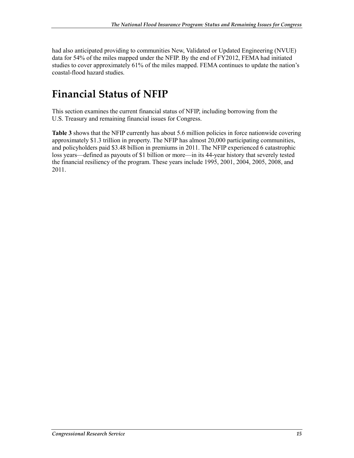had also anticipated providing to communities New, Validated or Updated Engineering (NVUE) data for 54% of the miles mapped under the NFIP. By the end of FY2012, FEMA had initiated studies to cover approximately 61% of the miles mapped. FEMA continues to update the nation's coastal-flood hazard studies.

## **Financial Status of NFIP**

This section examines the current financial status of NFIP, including borrowing from the U.S. Treasury and remaining financial issues for Congress.

**Table 3** shows that the NFIP currently has about 5.6 million policies in force nationwide covering approximately \$1.3 trillion in property. The NFIP has almost 20,000 participating communities, and policyholders paid \$3.48 billion in premiums in 2011. The NFIP experienced 6 catastrophic loss years—defined as payouts of \$1 billion or more—in its 44-year history that severely tested the financial resiliency of the program. These years include 1995, 2001, 2004, 2005, 2008, and 2011.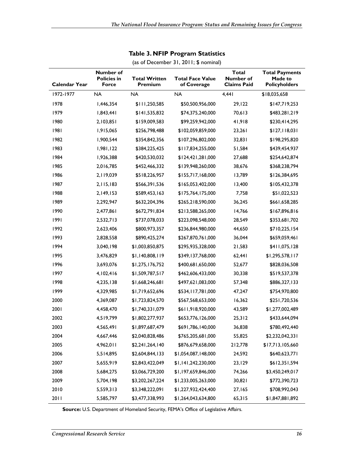|                      | Number of<br><b>Policies in</b> | <b>Total Written</b> | <b>Total Face Value</b> | <b>Total</b><br>Number of | <b>Total Payments</b><br>Made to |
|----------------------|---------------------------------|----------------------|-------------------------|---------------------------|----------------------------------|
| <b>Calendar Year</b> | <b>Force</b>                    | <b>Premium</b>       | of Coverage             | <b>Claims Paid</b>        | <b>Policyholders</b>             |
| 1972-1977            | <b>NA</b>                       | <b>NA</b>            | <b>NA</b>               | 4,441                     | \$18,035,658                     |
| 1978                 | 1,446,354                       | \$111,250,585        | \$50,500,956,000        | 29,122                    | \$147,719,253                    |
| 1979                 | 1,843,441                       | \$141,535,832        | \$74,375,240,000        | 70,613                    | \$483,281,219                    |
| 1980                 | 2,103,851                       | \$159,009,583        | \$99,259,942,000        | 41,918                    | \$230,414,295                    |
| 1981                 | 1,915,065                       | \$256,798,488        | \$102,059,859,000       | 23,261                    | \$127,118,031                    |
| 1982                 | 1,900,544                       | \$354,842,356        | \$107,296,802,000       | 32,831                    | \$198,295,820                    |
| 1983                 | 1,981,122                       | \$384,225,425        | \$117,834,255,000       | 51,584                    | \$439,454,937                    |
| 1984                 | 1,926,388                       | \$420,530,032        | \$124,421,281,000       | 27,688                    | \$254,642,874                    |
| 1985                 | 2,016,785                       | \$452,466,332        | \$139,948,260,000       | 38,676                    | \$368,238,794                    |
| 1986                 | 2,119,039                       | \$518,226,957        | \$155,717,168,000       | 13,789                    | \$126,384,695                    |
| 1987                 | 2,115,183                       | \$566,391,536        | \$165,053,402,000       | 13,400                    | \$105,432,378                    |
| 1988                 | 2, 149, 153                     | \$589,453,163        | \$175,764,175,000       | 7,758                     | \$51,022,523                     |
| 1989                 | 2,292,947                       | \$632,204,396        | \$265,218,590,000       | 36,245                    | \$661,658,285                    |
| 1990                 | 2,477,861                       | \$672,791,834        | \$213,588,265,000       | 14,766                    | \$167,896,816                    |
| 1991                 | 2,532,713                       | \$737,078,033        | \$223,098,548,000       | 28,549                    | \$353,681,702                    |
| 1992                 | 2,623,406                       | \$800,973,357        | \$236,844,980,000       | 44,650                    | \$710,225,154                    |
| 1993                 | 2,828,558                       | \$890,425,274        | \$267,870,761,000       | 36,044                    | \$659,059,461                    |
| 1994                 | 3,040,198                       | \$1,003,850,875      | \$295,935,328,000       | 21,583                    | \$411,075,128                    |
| 1995                 | 3,476,829                       | \$1,140,808,119      | \$349,137,768,000       | 62,441                    | \$1,295,578,117                  |
| 1996                 | 3,693,076                       | \$1,275,176,752      | \$400,681,650,000       | 52,677                    | \$828,036,508                    |
| 1997                 | 4,102,416                       | \$1,509,787,517      | \$462,606,433,000       | 30,338                    | \$519,537,378                    |
| 1998                 | 4,235,138                       | \$1,668,246,681      | \$497,621,083,000       | 57,348                    | \$886,327,133                    |
| 1999                 | 4,329,985                       | \$1,719,652,696      | \$534, 117, 781, 000    | 47,247                    | \$754,970,800                    |
| 2000                 | 4,369,087                       | \$1,723,824,570      | \$567,568,653,000       | 16,362                    | \$251,720,536                    |
| 2001                 | 4,458,470                       | \$1,740,331,079      | \$611,918,920,000       | 43,589                    | \$1,277,002,489                  |
| 2002                 | 4,519,799                       | \$1,802,277,937      | \$653,776,126,000       | 25,312                    | \$433,644,094                    |
| 2003                 | 4,565,491                       | \$1,897,687,479      | \$691,786,140,000       | 36,838                    | \$780,492,440                    |
| 2004                 | 4,667,446                       | \$2,040,828,486      | \$765,205,681,000       | 55,825                    | \$2,232,042,331                  |
| 2005                 | 4,962,011                       | \$2,241,264,140      | \$876,679,658,000       | 212,778                   | \$17,713,105,660                 |
| 2006                 | 5,514,895                       | \$2,604,844,133      | \$1,054,087,148,000     | 24,592                    | \$640,623,771                    |
| 2007                 | 5,655,919                       | \$2,843,422,049      | \$1,141,242,230,000     | 23,129                    | \$612,351,594                    |
| 2008                 | 5,684,275                       | \$3,066,729,200      | \$1,197,659,846,000     | 74,266                    | \$3,450,249,017                  |
| 2009                 | 5,704,198                       | \$3,202,267,224      | \$1,233,005,263,000     | 30,821                    | \$772,390,723                    |
| 2010                 | 5,559,313                       | \$3,348,222,091      | \$1,227,932,424,400     | 27,165                    | \$708,992,043                    |
| 2011                 | 5,585,797                       | \$3,477,338,993      | \$1,264,043,634,800     | 65,315                    | \$1,847,881,892                  |

#### **Table 3. NFIP Program Statistics**

(as of December 31, 2011; \$ nominal)

**Source:** U.S. Department of Homeland Security, FEMA's Office of Legislative Affairs.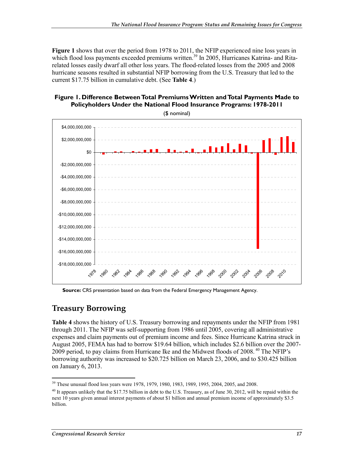**Figure 1** shows that over the period from 1978 to 2011, the NFIP experienced nine loss years in which flood loss payments exceeded premiums written.<sup>39</sup> In 2005, Hurricanes Katrina- and Ritarelated losses easily dwarf all other loss years. The flood-related losses from the 2005 and 2008 hurricane seasons resulted in substantial NFIP borrowing from the U.S. Treasury that led to the current \$17.75 billion in cumulative debt. (See **Table 4**.)

#### **Figure 1. Difference Between Total Premiums Written and Total Payments Made to Policyholders Under the National Flood Insurance Programs: 1978-2011**



(\$ nominal)

**Source:** CRS presentation based on data from the Federal Emergency Management Agency.

### **Treasury Borrowing**

**Table 4** shows the history of U.S. Treasury borrowing and repayments under the NFIP from 1981 through 2011. The NFIP was self-supporting from 1986 until 2005, covering all administrative expenses and claim payments out of premium income and fees. Since Hurricane Katrina struck in August 2005, FEMA has had to borrow \$19.64 billion, which includes \$2.6 billion over the 2007- 2009 period, to pay claims from Hurricane Ike and the Midwest floods of 2008.<sup>40</sup> The NFIP's borrowing authority was increased to \$20.725 billion on March 23, 2006, and to \$30.425 billion on January 6, 2013.

<sup>1</sup> <sup>39</sup> These unusual flood loss years were 1978, 1979, 1980, 1983, 1989, 1995, 2004, 2005, and 2008.

 $^{40}$  It appears unlikely that the \$17.75 billion in debt to the U.S. Treasury, as of June 30, 2012, will be repaid within the next 10 years given annual interest payments of about \$1 billion and annual premium income of approximately \$3.5 billion.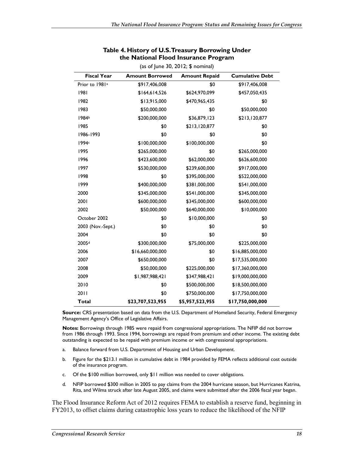| <b>Fiscal Year</b>         | <b>Amount Borrowed</b> | <b>Amount Repaid</b> | <b>Cumulative Debt</b> |
|----------------------------|------------------------|----------------------|------------------------|
| Prior to 1981 <sup>a</sup> | \$917,406,008          | \$0                  | \$917,406,008          |
| 1981                       | \$164,614,526          | \$624,970,099        | \$457,050,435          |
| 1982                       | \$13,915,000           | \$470,965,435        | \$0                    |
| 1983                       | \$50,000,000           | \$0                  | \$50,000,000           |
| 1984b                      | \$200,000,000          | \$36,879,123         | \$213,120,877          |
| 1985                       | \$0                    | \$213,120,877        | \$0                    |
| 1986-1993                  | \$0                    | \$0                  | \$0                    |
| 1994c                      | \$100,000,000          | \$100,000,000        | \$0                    |
| 1995                       | \$265,000,000          | \$0                  | \$265,000,000          |
| 1996                       | \$423,600,000          | \$62,000,000         | \$626,600,000          |
| 1997                       | \$530,000,000          | \$239,600,000        | \$917,000,000          |
| 1998                       | \$0                    | \$395,000,000        | \$522,000,000          |
| 1999                       | \$400,000,000          | \$381,000,000        | \$541,000,000          |
| 2000                       | \$345,000,000          | \$541,000,000        | \$345,000,000          |
| 2001                       | \$600,000,000          | \$345,000,000        | \$600,000,000          |
| 2002                       | \$50,000,000           | \$640,000,000        | \$10,000,000           |
| October 2002               | \$0                    | \$10,000,000         | \$0                    |
| 2003 (Nov.-Sept.)          | \$0                    | \$0                  | \$0                    |
| 2004                       | \$0                    | \$0                  | \$0                    |
| 2005 <sup>d</sup>          | \$300,000,000          | \$75,000,000         | \$225,000,000          |
| 2006                       | \$16,660,000,000       | \$0                  | \$16,885,000,000       |
| 2007                       | \$650,000,000          | \$0                  | \$17,535,000,000       |
| 2008                       | \$50,000,000           | \$225,000,000        | \$17,360,000,000       |
| 2009                       | \$1,987,988,421        | \$347,988,421        | \$19,000,000,000       |
| 2010                       | \$0                    | \$500,000,000        | \$18,500,000,000       |
| 2011                       | \$0                    | \$750,000,000        | \$17,750,000,000       |
| <b>Total</b>               | \$23,707,523,955       | \$5,957,523,955      | \$17,750,000,000       |

#### **Table 4. History of U.S. Treasury Borrowing Under the National Flood Insurance Program**

(as of June 30, 2012; \$ nominal)

**Source:** CRS presentation based on data from the U.S. Department of Homeland Security, Federal Emergency Management Agency's Office of Legislative Affairs.

**Notes:** Borrowings through 1985 were repaid from congressional appropriations. The NFIP did not borrow from 1986 through 1993. Since 1994, borrowings are repaid from premium and other income. The existing debt outstanding is expected to be repaid with premium income or with congressional appropriations.

- a. Balance forward from U.S. Department of Housing and Urban Development.
- b. Figure for the \$213.1 million in cumulative debt in 1984 provided by FEMA reflects additional cost outside of the insurance program.
- c. Of the \$100 million borrowed, only \$11 million was needed to cover obligations.
- d. NFIP borrowed \$300 million in 2005 to pay claims from the 2004 hurricane season, but Hurricanes Katrina, Rita, and Wilma struck after late August 2005, and claims were submitted after the 2006 fiscal year began.

The Flood Insurance Reform Act of 2012 requires FEMA to establish a reserve fund, beginning in FY2013, to offset claims during catastrophic loss years to reduce the likelihood of the NFIP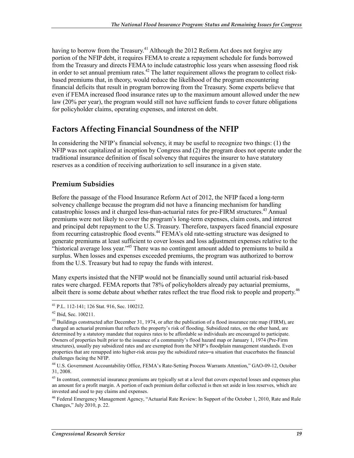having to borrow from the Treasury.<sup>41</sup> Although the 2012 Reform Act does not forgive any portion of the NFIP debt, it requires FEMA to create a repayment schedule for funds borrowed from the Treasury and directs FEMA to include catastrophic loss years when assessing flood risk in order to set annual premium rates.<sup>42</sup> The latter requirement allows the program to collect riskbased premiums that, in theory, would reduce the likelihood of the program encountering financial deficits that result in program borrowing from the Treasury. Some experts believe that even if FEMA increased flood insurance rates up to the maximum amount allowed under the new law (20% per year), the program would still not have sufficient funds to cover future obligations for policyholder claims, operating expenses, and interest on debt.

### **Factors Affecting Financial Soundness of the NFIP**

In considering the NFIP's financial solvency, it may be useful to recognize two things: (1) the NFIP was not capitalized at inception by Congress and (2) the program does not operate under the traditional insurance definition of fiscal solvency that requires the insurer to have statutory reserves as a condition of receiving authorization to sell insurance in a given state.

#### **Premium Subsidies**

Before the passage of the Flood Insurance Reform Act of 2012, the NFIP faced a long-term solvency challenge because the program did not have a financing mechanism for handling catastrophic losses and it charged less-than-actuarial rates for pre-FIRM structures.<sup>43</sup> Annual premiums were not likely to cover the program's long-term expenses, claim costs, and interest and principal debt repayment to the U.S. Treasury. Therefore, taxpayers faced financial exposure from recurring catastrophic flood events.<sup>44</sup> FEMA's old rate-setting structure was designed to generate premiums at least sufficient to cover losses and loss adjustment expenses relative to the "historical average loss year."<sup>45</sup> There was no contingent amount added to premiums to build a surplus. When losses and expenses exceeded premiums, the program was authorized to borrow from the U.S. Treasury but had to repay the funds with interest.

Many experts insisted that the NFIP would not be financially sound until actuarial risk-based rates were charged. FEMA reports that 78% of policyholders already pay actuarial premiums, albeit there is some debate about whether rates reflect the true flood risk to people and property.<sup>46</sup>

<sup>1</sup> 41 P.L. 112-141; 126 Stat. 916, Sec. 100212.

 $42$  Ibid, Sec. 100211.

 $^{43}$  Buildings constructed after December 31, 1974, or after the publication of a flood insurance rate map (FIRM), are charged an actuarial premium that reflects the property's risk of flooding. Subsidized rates, on the other hand, are determined by a statutory mandate that requires rates to be affordable so individuals are encouraged to participate. Owners of properties built prior to the issuance of a community's flood hazard map or January 1, 1974 (Pre-Firm structures), usually pay subsidized rates and are exempted from the NFIP's floodplain management standards. Even properties that are remapped into higher-risk areas pay the subsidized rates—a situation that exacerbates the financial challenges facing the NFIP.

<sup>44</sup> U.S. Government Accountability Office, FEMA's Rate-Setting Process Warrants Attention," GAO-09-12, October 31, 2008.

<sup>&</sup>lt;sup>45</sup> In contrast, commercial insurance premiums are typically set at a level that covers expected losses and expenses plus an amount for a profit margin. A portion of each premium dollar collected is then set aside in loss reserves, which are invested and used to pay claims and expenses.

<sup>46</sup> Federal Emergency Management Agency, "Actuarial Rate Review: In Support of the October 1, 2010, Rate and Rule Changes," July 2010, p. 22.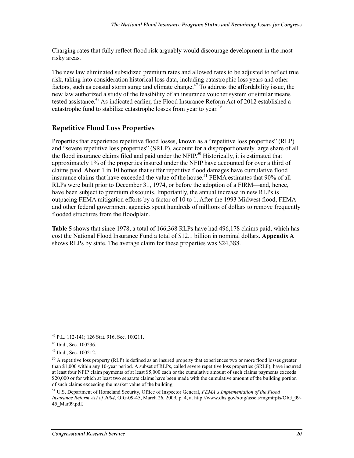Charging rates that fully reflect flood risk arguably would discourage development in the most risky areas.

The new law eliminated subsidized premium rates and allowed rates to be adjusted to reflect true risk, taking into consideration historical loss data, including catastrophic loss years and other factors, such as coastal storm surge and climate change.<sup>47</sup> To address the affordability issue, the new law authorized a study of the feasibility of an insurance voucher system or similar means tested assistance.<sup>48</sup> As indicated earlier, the Flood Insurance Reform Act of 2012 established a catastrophe fund to stabilize catastrophe losses from year to year.<sup>49</sup>

#### **Repetitive Flood Loss Properties**

Properties that experience repetitive flood losses, known as a "repetitive loss properties" (RLP) and "severe repetitive loss properties" (SRLP), account for a disproportionately large share of all the flood insurance claims filed and paid under the NFIP.<sup>50</sup> Historically, it is estimated that approximately 1% of the properties insured under the NFIP have accounted for over a third of claims paid. About 1 in 10 homes that suffer repetitive flood damages have cumulative flood insurance claims that have exceeded the value of the house.<sup>51</sup> FEMA estimates that 90% of all RLPs were built prior to December 31, 1974, or before the adoption of a FIRM—and, hence, have been subject to premium discounts. Importantly, the annual increase in new RLPs is outpacing FEMA mitigation efforts by a factor of 10 to 1. After the 1993 Midwest flood, FEMA and other federal government agencies spent hundreds of millions of dollars to remove frequently flooded structures from the floodplain.

**Table 5** shows that since 1978, a total of 166,368 RLPs have had 496,178 claims paid, which has cost the National Flood Insurance Fund a total of \$12.1 billion in nominal dollars. **Appendix A** shows RLPs by state. The average claim for these properties was \$24,388.

<u>.</u>

<sup>47</sup> P.L. 112-141; 126 Stat. 916, Sec. 100211.

<sup>48</sup> Ibid., Sec. 100236.

<sup>49</sup> Ibid., Sec. 100212.

<sup>&</sup>lt;sup>50</sup> A repetitive loss property (RLP) is defined as an insured property that experiences two or more flood losses greater than \$1,000 within any 10-year period. A subset of RLPs, called severe repetitive loss properties (SRLP), have incurred at least four NFIP claim payments of at least \$5,000 each or the cumulative amount of such claims payments exceeds \$20,000 or for which at least two separate claims have been made with the cumulative amount of the building portion of such claims exceeding the market value of the building.

<sup>51</sup> U.S. Department of Homeland Security, Office of Inspector General, *FEMA's Implementation of the Flood Insurance Reform Act of 2004*, OIG-09-45, March 26, 2009, p. 4, at http://www.dhs.gov/xoig/assets/mgmtrpts/OIG\_09- 45\_Mar09.pdf.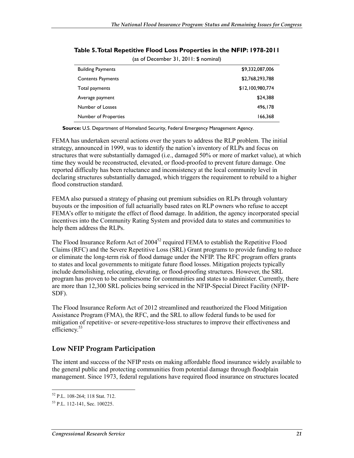| <b>Building Payments</b> | \$9,332,087,006  |
|--------------------------|------------------|
| <b>Contents Payments</b> | \$2,768,293,788  |
| Total payments           | \$12,100,980,774 |
| Average payment          | \$24,388         |
| Number of Losses         | 496,178          |
| Number of Properties     | 166,368          |

**Table 5. Total Repetitive Flood Loss Properties in the NFIP: 1978-2011** 

(as of December 31, 2011: \$ nominal)

**Source:** U.S. Department of Homeland Security, Federal Emergency Management Agency.

FEMA has undertaken several actions over the years to address the RLP problem. The initial strategy, announced in 1999, was to identify the nation's inventory of RLPs and focus on structures that were substantially damaged (i.e., damaged 50% or more of market value), at which time they would be reconstructed, elevated, or flood-proofed to prevent future damage. One reported difficulty has been reluctance and inconsistency at the local community level in declaring structures substantially damaged, which triggers the requirement to rebuild to a higher flood construction standard.

FEMA also pursued a strategy of phasing out premium subsidies on RLPs through voluntary buyouts or the imposition of full actuarially based rates on RLP owners who refuse to accept FEMA's offer to mitigate the effect of flood damage. In addition, the agency incorporated special incentives into the Community Rating System and provided data to states and communities to help them address the RLPs.

The Flood Insurance Reform Act of  $2004^{52}$  required FEMA to establish the Repetitive Flood Claims (RFC) and the Severe Repetitive Loss (SRL) Grant programs to provide funding to reduce or eliminate the long-term risk of flood damage under the NFIP. The RFC program offers grants to states and local governments to mitigate future flood losses. Mitigation projects typically include demolishing, relocating, elevating, or flood-proofing structures. However, the SRL program has proven to be cumbersome for communities and states to administer. Currently, there are more than 12,300 SRL policies being serviced in the NFIP-Special Direct Facility (NFIP-SDF).

The Flood Insurance Reform Act of 2012 streamlined and reauthorized the Flood Mitigation Assistance Program (FMA), the RFC, and the SRL to allow federal funds to be used for mitigation of repetitive- or severe-repetitive-loss structures to improve their effectiveness and efficiency.<sup>53</sup>

#### **Low NFIP Program Participation**

The intent and success of the NFIP rests on making affordable flood insurance widely available to the general public and protecting communities from potential damage through floodplain management. Since 1973, federal regulations have required flood insurance on structures located

<sup>1</sup> 52 P.L. 108-264; 118 Stat. 712.

<sup>53</sup> P.L. 112-141, Sec. 100225.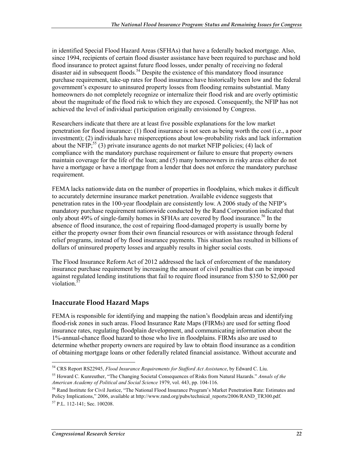in identified Special Flood Hazard Areas (SFHAs) that have a federally backed mortgage. Also, since 1994, recipients of certain flood disaster assistance have been required to purchase and hold flood insurance to protect against future flood losses, under penalty of receiving no federal disaster aid in subsequent floods.<sup>54</sup> Despite the existence of this mandatory flood insurance purchase requirement, take-up rates for flood insurance have historically been low and the federal government's exposure to uninsured property losses from flooding remains substantial. Many homeowners do not completely recognize or internalize their flood risk and are overly optimistic about the magnitude of the flood risk to which they are exposed. Consequently, the NFIP has not achieved the level of individual participation originally envisioned by Congress.

Researchers indicate that there are at least five possible explanations for the low market penetration for flood insurance: (1) flood insurance is not seen as being worth the cost (i.e., a poor investment); (2) individuals have misperceptions about low-probability risks and lack information about the NFIP;<sup>55</sup> (3) private insurance agents do not market NFIP policies; (4) lack of compliance with the mandatory purchase requirement or failure to ensure that property owners maintain coverage for the life of the loan; and (5) many homeowners in risky areas either do not have a mortgage or have a mortgage from a lender that does not enforce the mandatory purchase requirement.

FEMA lacks nationwide data on the number of properties in floodplains, which makes it difficult to accurately determine insurance market penetration. Available evidence suggests that penetration rates in the 100-year floodplain are consistently low. A 2006 study of the NFIP's mandatory purchase requirement nationwide conducted by the Rand Corporation indicated that only about 49% of single-family homes in SFHAs are covered by flood insurance.<sup>56</sup> In the absence of flood insurance, the cost of repairing flood-damaged property is usually borne by either the property owner from their own financial resources or with assistance through federal relief programs, instead of by flood insurance payments. This situation has resulted in billions of dollars of uninsured property losses and arguably results in higher social costs.

The Flood Insurance Reform Act of 2012 addressed the lack of enforcement of the mandatory insurance purchase requirement by increasing the amount of civil penalties that can be imposed against regulated lending institutions that fail to require flood insurance from \$350 to \$2,000 per violation.<sup>5</sup>

#### **Inaccurate Flood Hazard Maps**

FEMA is responsible for identifying and mapping the nation's floodplain areas and identifying flood-risk zones in such areas. Flood Insurance Rate Maps (FIRMs) are used for setting flood insurance rates, regulating floodplain development, and communicating information about the 1%-annual-chance flood hazard to those who live in floodplains. FIRMs also are used to determine whether property owners are required by law to obtain flood insurance as a condition of obtaining mortgage loans or other federally related financial assistance. Without accurate and

<sup>54</sup> CRS Report RS22945, *Flood Insurance Requirements for Stafford Act Assistance*, by Edward C. Liu.

<sup>55</sup> Howard C. Kunreuther, "The Changing Societal Consequences of Risks from Natural Hazards." *Annals of the American Academy of Political and Social Science* 1979, vol. 443, pp. 104-116.

<sup>56</sup> Rand Institute for Civil Justice, "The National Flood Insurance Program's Market Penetration Rate: Estimates and Policy Implications," 2006, available at http://www.rand.org/pubs/technical\_reports/2006/RAND\_TR300.pdf. 57 P.L. 112-141; Sec. 100208.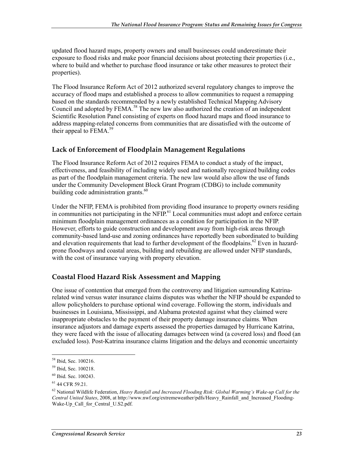updated flood hazard maps, property owners and small businesses could underestimate their exposure to flood risks and make poor financial decisions about protecting their properties (i.e., where to build and whether to purchase flood insurance or take other measures to protect their properties).

The Flood Insurance Reform Act of 2012 authorized several regulatory changes to improve the accuracy of flood maps and established a process to allow communities to request a remapping based on the standards recommended by a newly established Technical Mapping Advisory Council and adopted by FEMA.<sup>58</sup> The new law also authorized the creation of an independent Scientific Resolution Panel consisting of experts on flood hazard maps and flood insurance to address mapping-related concerns from communities that are dissatisfied with the outcome of their appeal to  $FEMA.<sup>59</sup>$ 

#### **Lack of Enforcement of Floodplain Management Regulations**

The Flood Insurance Reform Act of 2012 requires FEMA to conduct a study of the impact, effectiveness, and feasibility of including widely used and nationally recognized building codes as part of the floodplain management criteria. The new law would also allow the use of funds under the Community Development Block Grant Program (CDBG) to include community building code administration grants. $60$ 

Under the NFIP, FEMA is prohibited from providing flood insurance to property owners residing in communities not participating in the NFIP.<sup>61</sup> Local communities must adopt and enforce certain minimum floodplain management ordinances as a condition for participation in the NFIP. However, efforts to guide construction and development away from high-risk areas through community-based land-use and zoning ordinances have reportedly been subordinated to building and elevation requirements that lead to further development of the floodplains.<sup>62</sup> Even in hazardprone floodways and coastal areas, building and rebuilding are allowed under NFIP standards, with the cost of insurance varying with property elevation.

#### **Coastal Flood Hazard Risk Assessment and Mapping**

One issue of contention that emerged from the controversy and litigation surrounding Katrinarelated wind versus water insurance claims disputes was whether the NFIP should be expanded to allow policyholders to purchase optional wind coverage. Following the storm, individuals and businesses in Louisiana, Mississippi, and Alabama protested against what they claimed were inappropriate obstacles to the payment of their property damage insurance claims. When insurance adjustors and damage experts assessed the properties damaged by Hurricane Katrina, they were faced with the issue of allocating damages between wind (a covered loss) and flood (an excluded loss). Post-Katrina insurance claims litigation and the delays and economic uncertainty

<sup>&</sup>lt;sup>58</sup> Ibid, Sec. 100216.

<sup>59</sup> Ibid, Sec. 100218.

<sup>60</sup> Ibid. Sec. 100243.

 $61$  44 CFR 59.21.

<sup>62</sup> National Wildlife Federation, *Heavy Rainfall and Increased Flooding Risk: Global Warming's Wake-up Call for the Central United States*, 2008, at http://www.nwf.org/extremeweather/pdfs/Heavy\_Rainfall\_and\_Increased\_Flooding-Wake-Up Call for Central U.S2.pdf.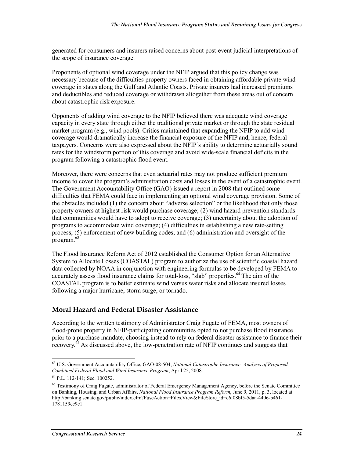generated for consumers and insurers raised concerns about post-event judicial interpretations of the scope of insurance coverage.

Proponents of optional wind coverage under the NFIP argued that this policy change was necessary because of the difficulties property owners faced in obtaining affordable private wind coverage in states along the Gulf and Atlantic Coasts. Private insurers had increased premiums and deductibles and reduced coverage or withdrawn altogether from these areas out of concern about catastrophic risk exposure.

Opponents of adding wind coverage to the NFIP believed there was adequate wind coverage capacity in every state through either the traditional private market or through the state residual market program (e.g., wind pools). Critics maintained that expanding the NFIP to add wind coverage would dramatically increase the financial exposure of the NFIP and, hence, federal taxpayers. Concerns were also expressed about the NFIP's ability to determine actuarially sound rates for the windstorm portion of this coverage and avoid wide-scale financial deficits in the program following a catastrophic flood event.

Moreover, there were concerns that even actuarial rates may not produce sufficient premium income to cover the program's administration costs and losses in the event of a catastrophic event. The Government Accountability Office (GAO) issued a report in 2008 that outlined some difficulties that FEMA could face in implementing an optional wind coverage provision. Some of the obstacles included (1) the concern about "adverse selection" or the likelihood that only those property owners at highest risk would purchase coverage; (2) wind hazard prevention standards that communities would have to adopt to receive coverage; (3) uncertainty about the adoption of programs to accommodate wind coverage; (4) difficulties in establishing a new rate-setting process; (5) enforcement of new building codes; and (6) administration and oversight of the program.<sup>6</sup>

The Flood Insurance Reform Act of 2012 established the Consumer Option for an Alternative System to Allocate Losses (COASTAL) program to authorize the use of scientific coastal hazard data collected by NOAA in conjunction with engineering formulas to be developed by FEMA to accurately assess flood insurance claims for total-loss, "slab" properties.<sup>64</sup> The aim of the COASTAL program is to better estimate wind versus water risks and allocate insured losses following a major hurricane, storm surge, or tornado.

#### **Moral Hazard and Federal Disaster Assistance**

According to the written testimony of Administrator Craig Fugate of FEMA, most owners of flood-prone property in NFIP-participating communities opted to not purchase flood insurance prior to a purchase mandate, choosing instead to rely on federal disaster assistance to finance their  $r_{\rm{e}}$  recovery.<sup>65</sup> As discussed above, the low-penetration rate of NFIP continues and suggests that

<sup>1</sup> 63 U.S. Government Accountability Office, GAO-08-504, *National Catastrophe Insurance: Analysis of Proposed Combined Federal Flood and Wind Insurance Program*, April 25, 2008.

<sup>64</sup> P.L. 112-141; Sec. 100252.

 $65$  Testimony of Craig Fugate, administrator of Federal Emergency Management Agency, before the Senate Committee on Banking, Housing, and Urban Affairs, *National Flood Insurance Program Reform*, June 9, 2011, p. 3, located at http://banking.senate.gov/public/index.cfm?FuseAction=Files.View&FileStore\_id=c6f08bf5-5daa-4406-b461- 1781159ec9c1.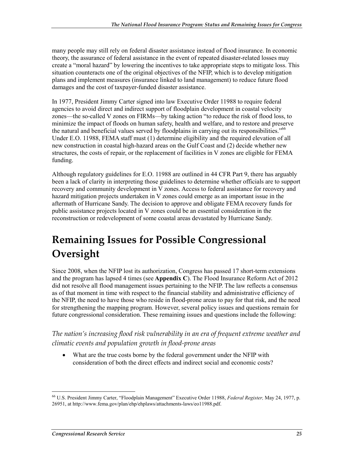many people may still rely on federal disaster assistance instead of flood insurance. In economic theory, the assurance of federal assistance in the event of repeated disaster-related losses may create a "moral hazard" by lowering the incentives to take appropriate steps to mitigate loss. This situation counteracts one of the original objectives of the NFIP, which is to develop mitigation plans and implement measures (insurance linked to land management) to reduce future flood damages and the cost of taxpayer-funded disaster assistance.

In 1977, President Jimmy Carter signed into law Executive Order 11988 to require federal agencies to avoid direct and indirect support of floodplain development in coastal velocity zones—the so-called V zones on FIRMs—by taking action "to reduce the risk of flood loss, to minimize the impact of floods on human safety, health and welfare, and to restore and preserve the natural and beneficial values served by floodplains in carrying out its responsibilities."<sup>66</sup> Under E.O. 11988, FEMA staff must (1) determine eligibility and the required elevation of all new construction in coastal high-hazard areas on the Gulf Coast and (2) decide whether new structures, the costs of repair, or the replacement of facilities in V zones are eligible for FEMA funding.

Although regulatory guidelines for E.O. 11988 are outlined in 44 CFR Part 9, there has arguably been a lack of clarity in interpreting those guidelines to determine whether officials are to support recovery and community development in V zones. Access to federal assistance for recovery and hazard mitigation projects undertaken in V zones could emerge as an important issue in the aftermath of Hurricane Sandy. The decision to approve and obligate FEMA recovery funds for public assistance projects located in V zones could be an essential consideration in the reconstruction or redevelopment of some coastal areas devastated by Hurricane Sandy.

## **Remaining Issues for Possible Congressional Oversight**

Since 2008, when the NFIP lost its authorization, Congress has passed 17 short-term extensions and the program has lapsed 4 times (see **Appendix C**). The Flood Insurance Reform Act of 2012 did not resolve all flood management issues pertaining to the NFIP. The law reflects a consensus as of that moment in time with respect to the financial stability and administrative efficiency of the NFIP, the need to have those who reside in flood-prone areas to pay for that risk, and the need for strengthening the mapping program. However, several policy issues and questions remain for future congressional consideration. These remaining issues and questions include the following:

*The nation's increasing flood risk vulnerability in an era of frequent extreme weather and climatic events and population growth in flood-prone areas* 

• What are the true costs borne by the federal government under the NFIP with consideration of both the direct effects and indirect social and economic costs?

<sup>66</sup> U.S. President Jimmy Carter, "Floodplain Management" Executive Order 11988, *Federal Register,* May 24, 1977, p. 26951, at http://www.fema.gov/plan/ehp/ehplaws/attachments-laws/eo11988.pdf.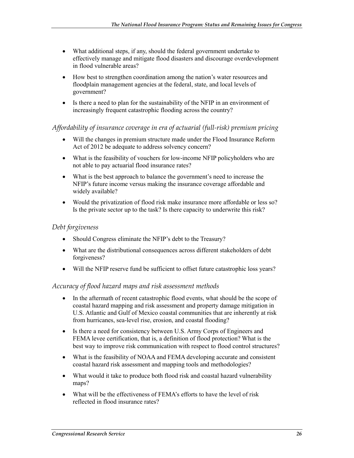- What additional steps, if any, should the federal government undertake to effectively manage and mitigate flood disasters and discourage overdevelopment in flood vulnerable areas?
- How best to strengthen coordination among the nation's water resources and floodplain management agencies at the federal, state, and local levels of government?
- Is there a need to plan for the sustainability of the NFIP in an environment of increasingly frequent catastrophic flooding across the country?

#### *Affordability of insurance coverage in era of actuarial (full-risk) premium pricing*

- Will the changes in premium structure made under the Flood Insurance Reform Act of 2012 be adequate to address solvency concern?
- What is the feasibility of vouchers for low-income NFIP policyholders who are not able to pay actuarial flood insurance rates?
- What is the best approach to balance the government's need to increase the NFIP's future income versus making the insurance coverage affordable and widely available?
- Would the privatization of flood risk make insurance more affordable or less so? Is the private sector up to the task? Is there capacity to underwrite this risk?

#### *Debt forgiveness*

- Should Congress eliminate the NFIP's debt to the Treasury?
- What are the distributional consequences across different stakeholders of debt forgiveness?
- Will the NFIP reserve fund be sufficient to offset future catastrophic loss years?

#### *Accuracy of flood hazard maps and risk assessment methods*

- In the aftermath of recent catastrophic flood events, what should be the scope of coastal hazard mapping and risk assessment and property damage mitigation in U.S. Atlantic and Gulf of Mexico coastal communities that are inherently at risk from hurricanes, sea-level rise, erosion, and coastal flooding?
- Is there a need for consistency between U.S. Army Corps of Engineers and FEMA levee certification, that is, a definition of flood protection? What is the best way to improve risk communication with respect to flood control structures?
- What is the feasibility of NOAA and FEMA developing accurate and consistent coastal hazard risk assessment and mapping tools and methodologies?
- What would it take to produce both flood risk and coastal hazard vulnerability maps?
- What will be the effectiveness of FEMA's efforts to have the level of risk reflected in flood insurance rates?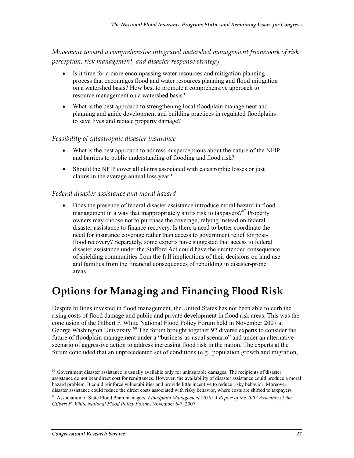*Movement toward a comprehensive integrated watershed management framework of risk perception, risk management, and disaster response strategy* 

- Is it time for a more encompassing water resources and mitigation planning process that encourages flood and water resources planning and flood mitigation on a watershed basis? How best to promote a comprehensive approach to resource management on a watershed basis?
- What is the best approach to strengthening local floodplain management and planning and guide development and building practices in regulated floodplains to save lives and reduce property damage?

#### *Feasibility of catastrophic disaster insurance*

- What is the best approach to address misperceptions about the nature of the NFIP and barriers to public understanding of flooding and flood risk?
- Should the NFIP cover all claims associated with catastrophic losses or just claims in the average annual loss year?

#### *Federal disaster assistance and moral hazard*

• Does the presence of federal disaster assistance introduce moral hazard in flood management in a way that inappropriately shifts risk to taxpayers? $67$  Property owners may choose not to purchase the coverage, relying instead on federal disaster assistance to finance recovery. Is there a need to better coordinate the need for insurance coverage rather than access to government relief for postflood recovery? Separately, some experts have suggested that access to federal disaster assistance under the Stafford Act could have the unintended consequence of shielding communities from the full implications of their decisions on land use and families from the financial consequences of rebuilding in disaster-prone areas.

## **Options for Managing and Financing Flood Risk**

Despite billions invested in flood management, the United States has not been able to curb the rising costs of flood damage and public and private development in flood risk areas. This was the conclusion of the Gilbert F. White National Flood Policy Forum held in November 2007 at George Washington University. <sup>68</sup> The forum brought together 92 diverse experts to consider the future of floodplain management under a "business-as-usual scenario" and under an alternative scenario of aggressive action to address increasing flood risk in the nation. The experts at the forum concluded that an unprecedented set of conditions (e.g., population growth and migration,

<sup>1</sup> <sup>67</sup> Government disaster assistance is usually available only for uninsurable damages. The recipients of disaster assistance do not bear direct cost for remittances. However, the availability of disaster assistance could produce a moral hazard problem. It could reinforce vulnerabilities and provide little incentive to reduce risky behavior. Moreover, disaster assistance could reduce the direct costs associated with risky behavior, where costs are shifted to taxpayers.

<sup>68</sup> Association of State Flood Plain managers, *Floodplain Management 2050: A Report of the 2007 Assembly of the Gilbert F. White National Flood Policy Forum*, November 6-7, 2007.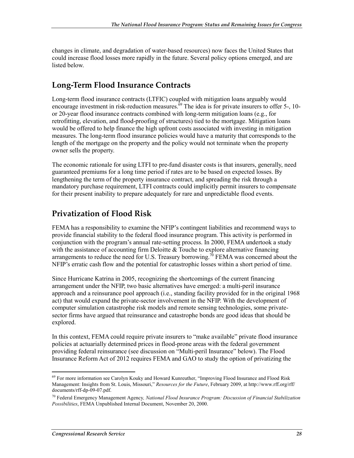changes in climate, and degradation of water-based resources) now faces the United States that could increase flood losses more rapidly in the future. Several policy options emerged, and are listed below.

## **Long-Term Flood Insurance Contracts**

Long-term flood insurance contracts (LTFIC) coupled with mitigation loans arguably would encourage investment in risk-reduction measures.<sup> $69$ </sup> The idea is for private insurers to offer 5-, 10or 20-year flood insurance contracts combined with long-term mitigation loans (e.g., for retrofitting, elevation, and flood-proofing of structures) tied to the mortgage. Mitigation loans would be offered to help finance the high upfront costs associated with investing in mitigation measures. The long-term flood insurance policies would have a maturity that corresponds to the length of the mortgage on the property and the policy would not terminate when the property owner sells the property.

The economic rationale for using LTFI to pre-fund disaster costs is that insurers, generally, need guaranteed premiums for a long time period if rates are to be based on expected losses. By lengthening the term of the property insurance contract, and spreading the risk through a mandatory purchase requirement, LTFI contracts could implicitly permit insurers to compensate for their present inability to prepare adequately for rare and unpredictable flood events.

### **Privatization of Flood Risk**

FEMA has a responsibility to examine the NFIP's contingent liabilities and recommend ways to provide financial stability to the federal flood insurance program. This activity is performed in conjunction with the program's annual rate-setting process. In 2000, FEMA undertook a study with the assistance of accounting firm Deloitte  $\&$  Touche to explore alternative financing arrangements to reduce the need for U.S. Treasury borrowing.<sup>70</sup> FEMA was concerned about the NFIP's erratic cash flow and the potential for catastrophic losses within a short period of time.

Since Hurricane Katrina in 2005, recognizing the shortcomings of the current financing arrangement under the NFIP, two basic alternatives have emerged: a multi-peril insurance approach and a reinsurance pool approach (i.e., standing facility provided for in the original 1968 act) that would expand the private-sector involvement in the NFIP. With the development of computer simulation catastrophe risk models and remote sensing technologies, some privatesector firms have argued that reinsurance and catastrophe bonds are good ideas that should be explored.

In this context, FEMA could require private insurers to "make available" private flood insurance policies at actuarially determined prices in flood-prone areas with the federal government providing federal reinsurance (see discussion on "Multi-peril Insurance" below). The Flood Insurance Reform Act of 2012 requires FEMA and GAO to study the option of privatizing the

<sup>1</sup> <sup>69</sup> For more information see Carolyn Kouky and Howard Kunreuther, "Improving Flood Insurance and Flood Risk Management: Insights from St. Louis, Missouri," *Resources for the Future*, February 2009, at http://www.rff.org/rff/ documents/rff-dp-09-07.pdf.

<sup>70</sup> Federal Emergency Management Agency*, National Flood Insurance Program: Discussion of Financial Stabilization Possibilities*, FEMA Unpublished Internal Document, November 20, 2000.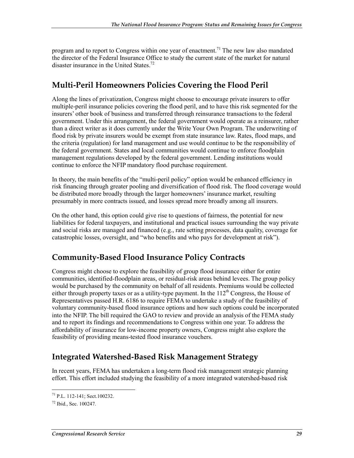program and to report to Congress within one year of enactment.<sup>71</sup> The new law also mandated the director of the Federal Insurance Office to study the current state of the market for natural disaster insurance in the United States.<sup>72</sup>

### **Multi-Peril Homeowners Policies Covering the Flood Peril**

Along the lines of privatization, Congress might choose to encourage private insurers to offer multiple-peril insurance policies covering the flood peril, and to have this risk segmented for the insurers' other book of business and transferred through reinsurance transactions to the federal government. Under this arrangement, the federal government would operate as a reinsurer, rather than a direct writer as it does currently under the Write Your Own Program. The underwriting of flood risk by private insurers would be exempt from state insurance law. Rates, flood maps, and the criteria (regulation) for land management and use would continue to be the responsibility of the federal government. States and local communities would continue to enforce floodplain management regulations developed by the federal government. Lending institutions would continue to enforce the NFIP mandatory flood purchase requirement.

In theory, the main benefits of the "multi-peril policy" option would be enhanced efficiency in risk financing through greater pooling and diversification of flood risk. The flood coverage would be distributed more broadly through the larger homeowners' insurance market, resulting presumably in more contracts issued, and losses spread more broadly among all insurers.

On the other hand, this option could give rise to questions of fairness, the potential for new liabilities for federal taxpayers, and institutional and practical issues surrounding the way private and social risks are managed and financed (e.g., rate setting processes, data quality, coverage for catastrophic losses, oversight, and "who benefits and who pays for development at risk").

### **Community-Based Flood Insurance Policy Contracts**

Congress might choose to explore the feasibility of group flood insurance either for entire communities, identified-floodplain areas, or residual-risk areas behind levees. The group policy would be purchased by the community on behalf of all residents. Premiums would be collected either through property taxes or as a utility-type payment. In the  $112<sup>th</sup>$  Congress, the House of Representatives passed H.R. 6186 to require FEMA to undertake a study of the feasibility of voluntary community-based flood insurance options and how such options could be incorporated into the NFIP. The bill required the GAO to review and provide an analysis of the FEMA study and to report its findings and recommendations to Congress within one year. To address the affordability of insurance for low-income property owners, Congress might also explore the feasibility of providing means-tested flood insurance vouchers.

### **Integrated Watershed-Based Risk Management Strategy**

In recent years, FEMA has undertaken a long-term flood risk management strategic planning effort. This effort included studying the feasibility of a more integrated watershed-based risk

<sup>1</sup> 71 P.L. 112-141; Sect.100232.

 $72$  Ibid., Sec. 100247.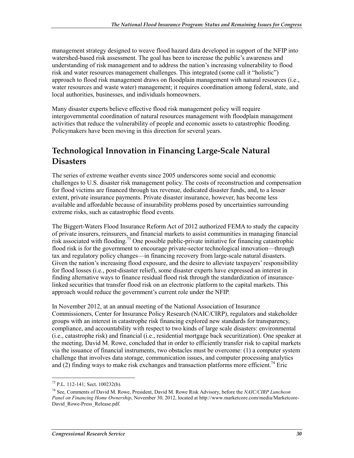management strategy designed to weave flood hazard data developed in support of the NFIP into watershed-based risk assessment. The goal has been to increase the public's awareness and understanding of risk management and to address the nation's increasing vulnerability to flood risk and water resources management challenges. This integrated (some call it "holistic") approach to flood risk management draws on floodplain management with natural resources (i.e., water resources and waste water) management; it requires coordination among federal, state, and local authorities, businesses, and individuals homeowners.

Many disaster experts believe effective flood risk management policy will require intergovernmental coordination of natural resources management with floodplain management activities that reduce the vulnerability of people and economic assets to catastrophic flooding. Policymakers have been moving in this direction for several years.

## **Technological Innovation in Financing Large-Scale Natural Disasters**

The series of extreme weather events since 2005 underscores some social and economic challenges to U.S. disaster risk management policy. The costs of reconstruction and compensation for flood victims are financed through tax revenue, dedicated disaster funds, and, to a lesser extent, private insurance payments. Private disaster insurance, however, has become less available and affordable because of insurability problems posed by uncertainties surrounding extreme risks, such as catastrophic flood events.

The Biggert-Waters Flood Insurance Reform Act of 2012 authorized FEMA to study the capacity of private insurers, reinsurers, and financial markets to assist communities in managing financial risk associated with flooding.<sup>73</sup> One possible public-private initiative for financing catastrophic flood risk is for the government to encourage private-sector technological innovation—through tax and regulatory policy changes—in financing recovery from large-scale natural disasters. Given the nation's increasing flood exposure, and the desire to alleviate taxpayers' responsibility for flood losses (i.e., post-disaster relief), some disaster experts have expressed an interest in finding alternative ways to finance residual flood risk through the standardization of insurancelinked securities that transfer flood risk on an electronic platform to the capital markets. This approach would reduce the government's current role under the NFIP.

In November 2012, at an annual meeting of the National Association of Insurance Commissioners, Center for Insurance Policy Research (NAIC/CIRP), regulators and stakeholder groups with an interest in catastrophe risk financing explored new standards for transparency, compliance, and accountability with respect to two kinds of large scale disasters: environmental (i.e., catastrophe risk) and financial (i.e., residential mortgage back securitization). One speaker at the meeting, David M. Rowe, concluded that in order to efficiently transfer risk to capital markets via the issuance of financial instruments, two obstacles must be overcome: (1) a computer system challenge that involves data storage, communication issues, and computer processing analytics and (2) finding ways to make risk exchanges and transaction platforms more efficient.<sup>74</sup> Eric

<sup>1</sup>  $73$  P.L. 112-141; Sect. 100232(b).

<sup>74</sup> See, Comments of David M. Rowe, President, David M. Rowe Risk Advisory, before the *NAIC/CIRP Luncheon Panel on Financing Home Ownership*, November 30, 2012, located at http://www.marketcore.com/media/Marketcore-David Rowe-Press Release.pdf.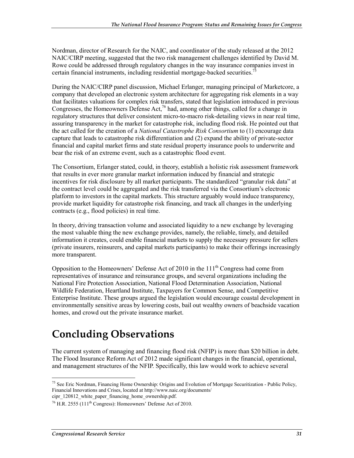Nordman, director of Research for the NAIC, and coordinator of the study released at the 2012 NAIC/CIRP meeting, suggested that the two risk management challenges identified by David M. Rowe could be addressed through regulatory changes in the way insurance companies invest in certain financial instruments, including residential mortgage-backed securities.<sup>7</sup>

During the NAIC/CIRP panel discussion, Michael Erlanger, managing principal of Marketcore, a company that developed an electronic system architecture for aggregating risk elements in a way that facilitates valuations for complex risk transfers, stated that legislation introduced in previous Congresses, the Homeowners Defense Act,  $^{76}$  had, among other things, called for a change in regulatory structures that deliver consistent micro-to-macro risk-detailing views in near real time, assuring transparency in the market for catastrophe risk, including flood risk. He pointed out that the act called for the creation of a *National Catastrophe Risk Consortium* to (1) encourage data capture that leads to catastrophe risk differentiation and (2) expand the ability of private-sector financial and capital market firms and state residual property insurance pools to underwrite and bear the risk of an extreme event, such as a catastrophic flood event.

The Consortium, Erlanger stated, could, in theory, establish a holistic risk assessment framework that results in ever more granular market information induced by financial and strategic incentives for risk disclosure by all market participants. The standardized "granular risk data" at the contract level could be aggregated and the risk transferred via the Consortium's electronic platform to investors in the capital markets. This structure arguably would induce transparency, provide market liquidity for catastrophe risk financing, and track all changes in the underlying contracts (e.g., flood policies) in real time.

In theory, driving transaction volume and associated liquidity to a new exchange by leveraging the most valuable thing the new exchange provides, namely, the reliable, timely, and detailed information it creates, could enable financial markets to supply the necessary pressure for sellers (private insurers, reinsurers, and capital markets participants) to make their offerings increasingly more transparent.

Opposition to the Homeowners' Defense Act of 2010 in the  $111<sup>th</sup>$  Congress had come from representatives of insurance and reinsurance groups, and several organizations including the National Fire Protection Association, National Flood Determination Association, National Wildlife Federation, Heartland Institute, Taxpayers for Common Sense, and Competitive Enterprise Institute. These groups argued the legislation would encourage coastal development in environmentally sensitive areas by lowering costs, bail out wealthy owners of beachside vacation homes, and crowd out the private insurance market.

## **Concluding Observations**

The current system of managing and financing flood risk (NFIP) is more than \$20 billion in debt. The Flood Insurance Reform Act of 2012 made significant changes in the financial, operational, and management structures of the NFIP. Specifically, this law would work to achieve several

<sup>&</sup>lt;sup>75</sup> See Eric Nordman, Financing Home Ownership: Origins and Evolution of Mortgage Securitization - Public Policy, Financial Innovations and Crises, located at http://www.naic.org/documents/ cipr\_120812\_white\_paper\_financing\_home\_ownership.pdf.

 $^{76}$  H.R. 2555 (111<sup>th</sup> Congress): Homeowners' Defense Act of 2010.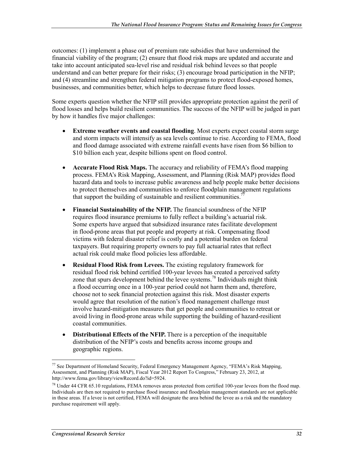outcomes: (1) implement a phase out of premium rate subsidies that have undermined the financial viability of the program; (2) ensure that flood risk maps are updated and accurate and take into account anticipated sea-level rise and residual risk behind levees so that people understand and can better prepare for their risks; (3) encourage broad participation in the NFIP; and (4) streamline and strengthen federal mitigation programs to protect flood-exposed homes, businesses, and communities better, which helps to decrease future flood losses.

Some experts question whether the NFIP still provides appropriate protection against the peril of flood losses and helps build resilient communities. The success of the NFIP will be judged in part by how it handles five major challenges:

- **Extreme weather events and coastal flooding**. Most experts expect coastal storm surge and storm impacts will intensify as sea levels continue to rise. According to FEMA, flood and flood damage associated with extreme rainfall events have risen from \$6 billion to \$10 billion each year, despite billions spent on flood control.
- **Accurate Flood Risk Maps.** The accuracy and reliability of FEMA's flood mapping process. FEMA's Risk Mapping, Assessment, and Planning (Risk MAP) provides flood hazard data and tools to increase public awareness and help people make better decisions to protect themselves and communities to enforce floodplain management regulations that support the building of sustainable and resilient communities.<sup>7</sup>
- **Financial Sustainability of the NFIP.** The financial soundness of the NFIP requires flood insurance premiums to fully reflect a building's actuarial risk. Some experts have argued that subsidized insurance rates facilitate development in flood-prone areas that put people and property at risk. Compensating flood victims with federal disaster relief is costly and a potential burden on federal taxpayers. But requiring property owners to pay full actuarial rates that reflect actual risk could make flood policies less affordable.
- **Residual Flood Risk from Levees.** The existing regulatory framework for residual flood risk behind certified 100-year levees has created a perceived safety zone that spurs development behind the levee systems.<sup>78</sup> Individuals might think a flood occurring once in a 100-year period could not harm them and, therefore, choose not to seek financial protection against this risk. Most disaster experts would agree that resolution of the nation's flood management challenge must involve hazard-mitigation measures that get people and communities to retreat or avoid living in flood-prone areas while supporting the building of hazard-resilient coastal communities.
- **Distributional Effects of the NFIP.** There is a perception of the inequitable distribution of the NFIP's costs and benefits across income groups and geographic regions.

<sup>1</sup> <sup>77</sup> See Department of Homeland Security, Federal Emergency Management Agency, "FEMA's Risk Mapping, Assessment, and Planning (Risk MAP), Fiscal Year 2012 Report To Congress," February 23, 2012, at http://www.fema.gov/library/viewRecord.do?id=5924.

<sup>&</sup>lt;sup>78</sup> Under 44 CFR 65.10 regulations, FEMA removes areas protected from certified 100-year levees from the flood map. Individuals are then not required to purchase flood insurance and floodplain management standards are not applicable in these areas. If a levee is not certified, FEMA will designate the area behind the levee as a risk and the mandatory purchase requirement will apply.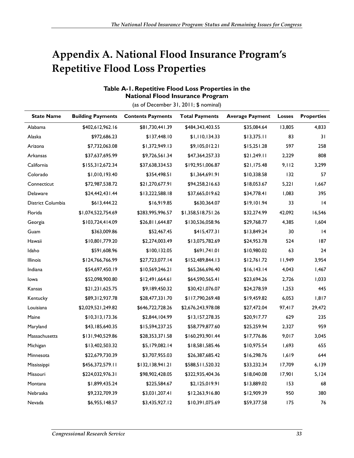## **Appendix A. National Flood Insurance Program's Repetitive Flood Loss Properties**

#### **Table A-1. Repetitive Flood Loss Properties in the National Flood Insurance Program**

(as of December 31, 2011; \$ nominal)

| <b>State Name</b> | <b>Building Payments</b> | <b>Contents Payments</b> | <b>Total Payments</b> | <b>Average Payment</b> | <b>Losses</b> | <b>Properties</b> |
|-------------------|--------------------------|--------------------------|-----------------------|------------------------|---------------|-------------------|
| Alabama           | \$402,612,962.16         | \$81,730,441.39          | \$484,343,403.55      | \$35,084.64            | 13,805        | 4,833             |
| Alaska            | \$972,686.23             | \$137,448.10             | \$1,110,134.33        | \$13,375.11            | 83            | 31                |
| Arizona           | \$7,732,063.08           | \$1,372,949.13           | \$9,105,012.21        | \$15,251.28            | 597           | 258               |
| Arkansas          | \$37,637,695.99          | \$9,726,561.34           | \$47,364,257.33       | \$21,249.11            | 2,229         | 808               |
| California        | \$155,312,672.34         | \$37,638,334.53          | \$192,951,006.87      | \$21,175.48            | 9,112         | 3,299             |
| Colorado          | \$1,010,193.40           | \$354,498.51             | \$1,364,691.91        | \$10,338.58            | 132           | 57                |
| Connecticut       | \$72,987,538.72          | \$21,270,677.91          | \$94,258,216.63       | \$18,053.67            | 5,221         | 1,667             |
| Delaware          | \$24,442,431.44          | \$13,222,588.18          | \$37,665,019.62       | \$34,778.41            | 1,083         | 395               |
| District Columbia | \$613,444.22             | \$16,919.85              | \$630,364.07          | \$19,101.94            | 33            | 4                 |
| Florida           | \$1,074,522,754.69       | \$283,995,996.57         | \$1,358,518,751.26    | \$32,274.99            | 42,092        | 16,546            |
| Georgia           | \$103,724,414.09         | \$26,811,644.87          | \$130,536,058.96      | \$29,768.77            | 4,385         | 1,604             |
| Guam              | \$363,009.86             | \$52,467.45              | \$415,477.31          | \$13,849.24            | 30            | 4                 |
| Hawaii            | \$10,801,779.20          | \$2,274,003.49           | \$13,075,782.69       | \$24,953.78            | 524           | 187               |
| Idaho             | \$591,608.96             | \$100,132.05             | \$691,741.01          | \$10,980.02            | 63            | 24                |
| Illinois          | \$124,766,766.99         | \$27,723,077.14          | \$152,489,844.13      | \$12,761.72            | 11,949        | 3,954             |
| Indiana           | \$54,697,450.19          | \$10,569,246.21          | \$65,266,696.40       | \$16,143.14            | 4,043         | 1,467             |
| lowa              | \$52,098,900.80          | \$12,491,664.61          | \$64,590,565.41       | \$23,694.26            | 2,726         | 1,033             |
| Kansas            | \$21,231,625.75          | \$9,189,450.32           | \$30,421,076.07       | \$24,278.59            | 1,253         | 445               |
| Kentucky          | \$89,312,937.78          | \$28,477,331.70          | \$117,790,269.48      | \$19,459.82            | 6,053         | 1,817             |
| Louisiana         | \$2,029,521,249.82       | \$646,722,728.26         | \$2,676,243,978.08    | \$27,472.04            | 97,417        | 29,472            |
| Maine             | \$10,313,173.36          | \$2,844,104.99           | \$13,157,278.35       | \$20,917.77            | 629           | 235               |
| Maryland          | \$43,185,640.35          | \$15,594,237.25          | \$58,779,877.60       | \$25,259.94            | 2,327         | 959               |
| Massachusetts     | \$131,940,529.86         | \$28,353,371.58          | \$160,293,901.44      | \$17,776.86            | 9,017         | 3,045             |
| Michigan          | \$13,402,503.32          | \$5,179,082.14           | \$18,581,585.46       | \$10,975.54            | 1,693         | 655               |
| Minnesota         | \$22,679,730.39          | \$3,707,955.03           | \$26,387,685.42       | \$16,298.76            | 1,619         | 644               |
| Mississippi       | \$456,372,579.11         | \$132,138,941.21         | \$588,511,520.32      | \$33,232.34            | 17,709        | 6,139             |
| Missouri          | \$224,032,976.31         | \$98,902,428.05          | \$322,935,404.36      | \$18,040.08            | 17,901        | 5,124             |
| Montana           | \$1,899,435.24           | \$225,584.67             | \$2,125,019.91        | \$13,889.02            | 153           | 68                |
| Nebraska          | \$9,232,709.39           | \$3,031,207.41           | \$12,263,916.80       | \$12,909.39            | 950           | 380               |
| Nevada            | \$6,955,148.57           | \$3,435,927.12           | \$10,391,075.69       | \$59,377.58            | 175           | 76                |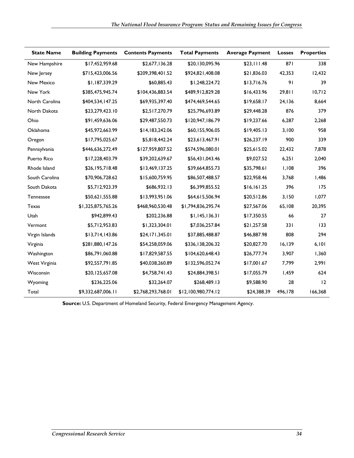*The National Flood Insurance Program: Status and Remaining Issues for Congress* 

| <b>State Name</b> | <b>Building Payments</b> | <b>Contents Payments</b> | <b>Total Payments</b> | <b>Average Payment</b> | <b>Losses</b> | <b>Properties</b> |
|-------------------|--------------------------|--------------------------|-----------------------|------------------------|---------------|-------------------|
| New Hampshire     | \$17,452,959.68          | \$2,677,136.28           | \$20,130,095.96       | \$23,111.48            | 871           | 338               |
| New Jersey        | \$715,423,006.56         | \$209,398,401.52         | \$924,821,408.08      | \$21,836.03            | 42,353        | 12,432            |
| New Mexico        | \$1,187,339.29           | \$60,885.43              | \$1,248,224.72        | \$13,716.76            | 91            | 39                |
| New York          | \$385,475,945.74         | \$104,436,883.54         | \$489,912,829.28      | \$16,433.96            | 29,811        | 10,712            |
| North Carolina    | \$404,534,147.25         | \$69,935,397.40          | \$474,469,544.65      | \$19,658.17            | 24,136        | 8,664             |
| North Dakota      | \$23,279,423.10          | \$2,517,270.79           | \$25,796,693.89       | \$29,448.28            | 876           | 379               |
| Ohio              | \$91,459,636.06          | \$29,487,550.73          | \$120,947,186.79      | \$19,237.66            | 6,287         | 2,268             |
| <b>Oklahoma</b>   | \$45,972,663.99          | \$14,183,242.06          | \$60,155,906.05       | \$19,405.13            | 3,100         | 958               |
| Oregon            | \$17,795,025.67          | \$5,818,442.24           | \$23,613,467.91       | \$26,237.19            | 900           | 339               |
| Pennsylvania      | \$446,636,272.49         | \$127,959,807.52         | \$574,596,080.01      | \$25,615.02            | 22,432        | 7,878             |
| Puerto Rico       | \$17,228,403.79          | \$39,202,639.67          | \$56,431,043.46       | \$9,027.52             | 6,251         | 2,040             |
| Rhode Island      | \$26,195,718.48          | \$13,469,137.25          | \$39,664,855.73       | \$35,798.61            | 1,108         | 396               |
| South Carolina    | \$70,906,728.62          | \$15,600,759.95          | \$86,507,488.57       | \$22,958.46            | 3,768         | 1,486             |
| South Dakota      | \$5,712,923.39           | \$686,932.13             | \$6,399,855.52        | \$16,161.25            | 396           | 175               |
| Tennessee         | \$50,621,555.88          | \$13,993,951.06          | \$64,615,506.94       | \$20,512.86            | 3,150         | 1,077             |
| <b>Texas</b>      | \$1,325,875,765.26       | \$468,960,530.48         | \$1,794,836,295.74    | \$27,567.06            | 65,108        | 20,395            |
| Utah              | \$942,899.43             | \$202,236.88             | \$1,145,136.31        | \$17,350.55            | 66            | 27                |
| Vermont           | \$5,712,953.83           | \$1,323,304.01           | \$7,036,257.84        | \$21,257.58            | 331           | 133               |
| Virgin Islands    | \$13,714,143.86          | \$24,171,345.01          | \$37,885,488.87       | \$46,887.98            | 808           | 294               |
| Virginia          | \$281,880,147.26         | \$54,258,059.06          | \$336,138,206.32      | \$20,827.70            | 16, 139       | 6,101             |
| Washington        | \$86,791,060.88          | \$17,829,587.55          | \$104,620,648.43      | \$26,777.74            | 3,907         | 1,360             |
| West Virginia     | \$92,557,791.85          | \$40,038,260.89          | \$132,596,052.74      | \$17,001.67            | 7,799         | 2,991             |
| Wisconsin         | \$20,125,657.08          | \$4,758,741.43           | \$24,884,398.51       | \$17,055.79            | 1,459         | 624               |
| Wyoming           | \$236,225.06             | \$32,264.07              | \$268,489.13          | \$9,588.90             | 28            | 12                |
| Total             | \$9,332,687,006.11       | \$2,768,293,768.01       | \$12,100,980,774.12   | \$24,388.39            | 496,178       | 166,368           |

**Source:** U.S. Department of Homeland Security, Federal Emergency Management Agency.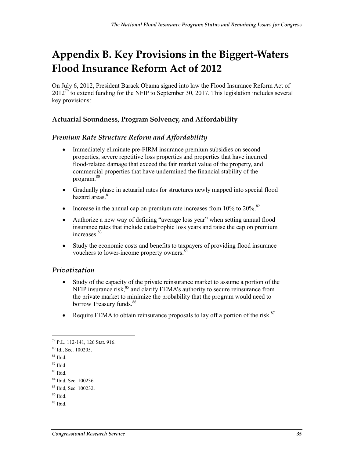## **Appendix B. Key Provisions in the Biggert-Waters Flood Insurance Reform Act of 2012**

On July 6, 2012, President Barack Obama signed into law the Flood Insurance Reform Act of  $2012^{79}$  to extend funding for the NFIP to September 30, 2017. This legislation includes several key provisions:

#### **Actuarial Soundness, Program Solvency, and Affordability**

#### *Premium Rate Structure Reform and Affordability*

- Immediately eliminate pre-FIRM insurance premium subsidies on second properties, severe repetitive loss properties and properties that have incurred flood-related damage that exceed the fair market value of the property, and commercial properties that have undermined the financial stability of the program.80
- Gradually phase in actuarial rates for structures newly mapped into special flood hazard areas. $81$
- Increase in the annual cap on premium rate increases from  $10\%$  to  $20\%$ .<sup>82</sup>
- Authorize a new way of defining "average loss year" when setting annual flood insurance rates that include catastrophic loss years and raise the cap on premium increases.<sup>83</sup>
- Study the economic costs and benefits to taxpayers of providing flood insurance vouchers to lower-income property owners.<sup>82</sup>

#### *Privatization*

- Study of the capacity of the private reinsurance market to assume a portion of the NFIP insurance risk,<sup>85</sup> and clarify FEMA's authority to secure reinsurance from the private market to minimize the probability that the program would need to borrow Treasury funds.<sup>86</sup>
- Require FEMA to obtain reinsurance proposals to lay off a portion of the risk.<sup>87</sup>

<sup>1</sup> 79 P.L. 112-141, 126 Stat. 916.

<sup>80</sup> Id., Sec. 100205.

 $81$  Ibid.

 $82$  Ibid

 $83$  Ibid.

<sup>&</sup>lt;sup>84</sup> Ibid, Sec. 100236.

<sup>85</sup> Ibid, Sec. 100232.

 $86$  Ibid.

 $87$  Ibid.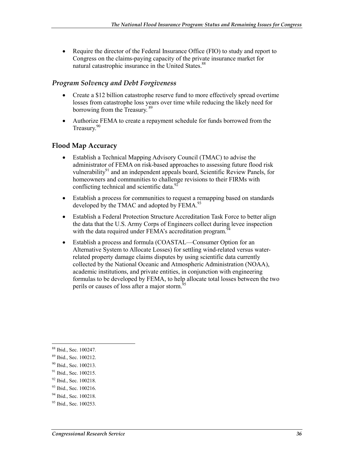• Require the director of the Federal Insurance Office (FIO) to study and report to Congress on the claims-paying capacity of the private insurance market for natural catastrophic insurance in the United States.<sup>88</sup>

#### *Program Solvency and Debt Forgiveness*

- Create a \$12 billion catastrophe reserve fund to more effectively spread overtime losses from catastrophe loss years over time while reducing the likely need for borrowing from the Treasury.<sup>89</sup>
- Authorize FEMA to create a repayment schedule for funds borrowed from the Treasury.<sup>90</sup>

#### **Flood Map Accuracy**

- Establish a Technical Mapping Advisory Council (TMAC) to advise the administrator of FEMA on risk-based approaches to assessing future flood risk vulnerability $91$  and an independent appeals board, Scientific Review Panels, for homeowners and communities to challenge revisions to their FIRMs with conflicting technical and scientific data.<sup>92</sup>
- Establish a process for communities to request a remapping based on standards developed by the TMAC and adopted by FEMA.<sup>93</sup>
- Establish a Federal Protection Structure Accreditation Task Force to better align the data that the U.S. Army Corps of Engineers collect during levee inspection with the data required under FEMA's accreditation program.<sup>94</sup>
- Establish a process and formula (COASTAL—Consumer Option for an Alternative System to Allocate Losses) for settling wind-related versus waterrelated property damage claims disputes by using scientific data currently collected by the National Oceanic and Atmospheric Administration (NOAA), academic institutions, and private entities, in conjunction with engineering formulas to be developed by FEMA, to help allocate total losses between the two perils or causes of loss after a major storm.<sup>9</sup>

- <sup>89</sup> Ibid., Sec. 100212.
- <sup>90</sup> Ibid., Sec. 100213.
- <sup>91</sup> Ibid., Sec. 100215.
- <sup>92</sup> Ibid., Sec. 100218.
- 93 Ibid., Sec. 100216.
- <sup>94</sup> Ibid., Sec. 100218.
- <sup>95</sup> Ibid., Sec. 100253.

<sup>88</sup> Ibid., Sec. 100247.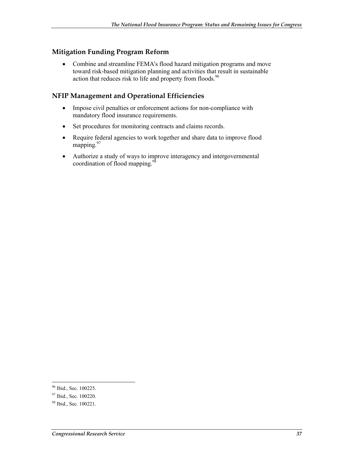#### **Mitigation Funding Program Reform**

• Combine and streamline FEMA's flood hazard mitigation programs and move toward risk-based mitigation planning and activities that result in sustainable action that reduces risk to life and property from floods.<sup>96</sup>

#### **NFIP Management and Operational Efficiencies**

- Impose civil penalties or enforcement actions for non-compliance with mandatory flood insurance requirements.
- Set procedures for monitoring contracts and claims records.
- Require federal agencies to work together and share data to improve flood mapping.<sup>97</sup>
- Authorize a study of ways to improve interagency and intergovernmental coordination of flood mapping. $98$

<sup>&</sup>lt;sup>96</sup> Ibid., Sec. 100225.

<sup>97</sup> Ibid., Sec. 100220.

<sup>&</sup>lt;sup>98</sup> Ibid., Sec. 100221.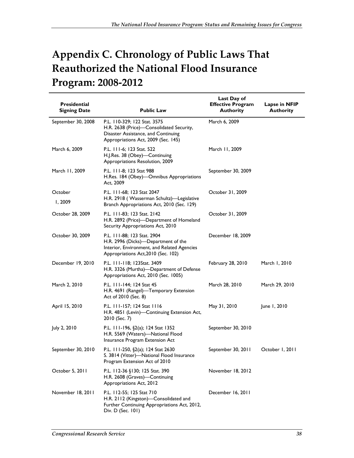## **Appendix C. Chronology of Public Laws That Reauthorized the National Flood Insurance Program: 2008-2012**

| <b>Presidential</b><br><b>Signing Date</b> | <b>Public Law</b>                                                                                                                                        | Last Day of<br><b>Effective Program</b><br><b>Authority</b> | Lapse in NFIP<br><b>Authority</b> |
|--------------------------------------------|----------------------------------------------------------------------------------------------------------------------------------------------------------|-------------------------------------------------------------|-----------------------------------|
| September 30, 2008                         | P.L. 110-329; 122 Stat. 3575<br>H.R. 2638 (Price)-Consolidated Security,<br>Disaster Assistance, and Continuing<br>Appropriations Act, 2009 (Sec. 145)   | March 6, 2009                                               |                                   |
| March 6, 2009                              | P.L. 111-6; 123 Stat. 522<br>H.J.Res. 38 (Obey)-Continuing<br>Appropriations Resolution, 2009                                                            | March 11, 2009                                              |                                   |
| March 11, 2009                             | P.L. 111-8; 123 Stat 988<br>H.Res. 184 (Obey)-Omnibus Appropriations<br>Act, 2009                                                                        | September 30, 2009                                          |                                   |
| October<br>1, 2009                         | P.L. 111-68; 123 Stat 2047<br>H.R. 2918 (Wasserman Schultz)—Legislative<br>Branch Appropriations Act, 2010 (Sec. 129)                                    | October 31, 2009                                            |                                   |
| October 28, 2009                           | P.L. 111-83; 123 Stat. 2142<br>H.R. 2892 (Price)-Department of Homeland<br>Security Appropriations Act, 2010                                             | October 31, 2009                                            |                                   |
| October 30, 2009                           | P.L. 111-88; 123 Stat. 2904<br>H.R. 2996 (Dicks)-Department of the<br>Interior, Environment, and Related Agencies<br>Appropriations Act, 2010 (Sec. 102) | December 18, 2009                                           |                                   |
| December 19, 2010                          | P.L. 111-118; 123Stat. 3409<br>H.R. 3326 (Murtha)-Department of Defense<br>Appropriations Act, 2010 (Sec. 1005)                                          | February 28, 2010                                           | March 1, 2010                     |
| March 2, 2010                              | P.L. 111-144; 124 Stat 45<br>H.R. 4691 (Rangel)-Temporary Extension<br>Act of 2010 (Sec. 8)                                                              | March 28, 2010                                              | March 29, 2010                    |
| April 15, 2010                             | P.L. 111-157; 124 Stat 1116<br>H.R. 4851 (Levin)-Continuing Extension Act,<br>2010 (Sec. 7)                                                              | May 31, 2010                                                | June 1, 2010                      |
| July 2, 2010                               | P.L. 111-196, §2(a); 124 Stat 1352<br>H.R. 5569 (Waters)-National Flood<br>Insurance Program Extension Act                                               | September 30, 2010                                          |                                   |
| September 30, 2010                         | P.L. 111-250, §2(a); 124 Stat 2630<br>S. 3814 (Vitter)-National Flood Insurance<br>Program Extension Act of 2010                                         | September 30, 2011                                          | October 1, 2011                   |
| October 5, 2011                            | P.L. 112-36 §130; 125 Stat. 390<br>H.R. 2608 (Graves)-Continuing<br>Appropriations Act, 2012                                                             | November 18, 2012                                           |                                   |
| November 18, 2011                          | P.L. 112-55; 125 Stat 710<br>H.R. 2112 (Kingston)-Consolidated and<br>Further Continuing Appropriations Act, 2012,<br>Div. D (Sec. 101)                  | December 16, 2011                                           |                                   |